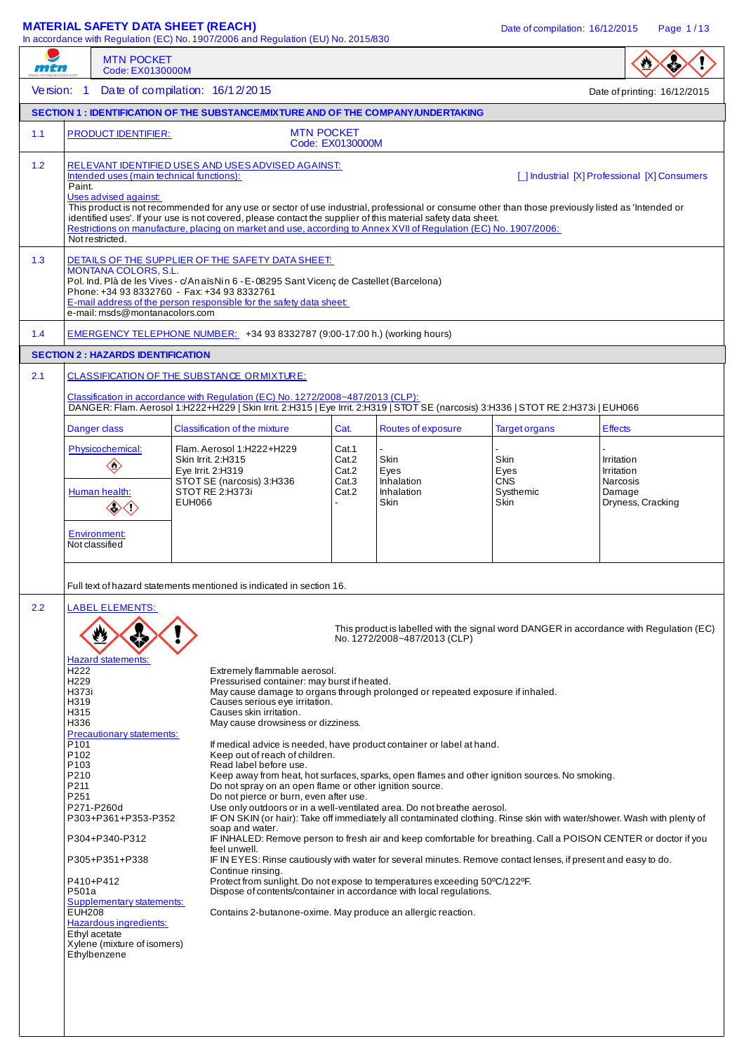# **MATERIAL SAFETY DATA SHEET (REACH)** Date of compilation: 16/12/2015 Page 1/13

In accordance with Regulation (EC) No. 1907/2006 and Regulation (EU) No. 2015/830

|            | <b>MTN POCKET</b>                                                                                                                                                                                                                                                                                                                                                                                                                                                                           | In accordance with Regulation (EC) No. 1907/2006 and Regulation (EU) No. 2015/830                                                                                                                                                                                                                                                                                                                                                                                                                                                                                                                                                                                                                                                                                                                                                                                                                                                                                                                                                                                                                                                                                                                                                                                                                                                                                                                            |                                           |                                                  |                                                        |                                                                                         |  |
|------------|---------------------------------------------------------------------------------------------------------------------------------------------------------------------------------------------------------------------------------------------------------------------------------------------------------------------------------------------------------------------------------------------------------------------------------------------------------------------------------------------|--------------------------------------------------------------------------------------------------------------------------------------------------------------------------------------------------------------------------------------------------------------------------------------------------------------------------------------------------------------------------------------------------------------------------------------------------------------------------------------------------------------------------------------------------------------------------------------------------------------------------------------------------------------------------------------------------------------------------------------------------------------------------------------------------------------------------------------------------------------------------------------------------------------------------------------------------------------------------------------------------------------------------------------------------------------------------------------------------------------------------------------------------------------------------------------------------------------------------------------------------------------------------------------------------------------------------------------------------------------------------------------------------------------|-------------------------------------------|--------------------------------------------------|--------------------------------------------------------|-----------------------------------------------------------------------------------------|--|
| mtn        | Code: EX0130000M                                                                                                                                                                                                                                                                                                                                                                                                                                                                            |                                                                                                                                                                                                                                                                                                                                                                                                                                                                                                                                                                                                                                                                                                                                                                                                                                                                                                                                                                                                                                                                                                                                                                                                                                                                                                                                                                                                              |                                           |                                                  |                                                        |                                                                                         |  |
| Version: 1 |                                                                                                                                                                                                                                                                                                                                                                                                                                                                                             | Date of compilation: $16/12/2015$                                                                                                                                                                                                                                                                                                                                                                                                                                                                                                                                                                                                                                                                                                                                                                                                                                                                                                                                                                                                                                                                                                                                                                                                                                                                                                                                                                            |                                           |                                                  |                                                        | Date of printing: 16/12/2015                                                            |  |
|            |                                                                                                                                                                                                                                                                                                                                                                                                                                                                                             | <b>SECTION 1: IDENTIFICATION OF THE SUBSTANCE/MIXTURE AND OF THE COMPANY/UNDERTAKING</b>                                                                                                                                                                                                                                                                                                                                                                                                                                                                                                                                                                                                                                                                                                                                                                                                                                                                                                                                                                                                                                                                                                                                                                                                                                                                                                                     |                                           |                                                  |                                                        |                                                                                         |  |
| $1.1$      | <b>PRODUCT IDENTIFIER:</b>                                                                                                                                                                                                                                                                                                                                                                                                                                                                  |                                                                                                                                                                                                                                                                                                                                                                                                                                                                                                                                                                                                                                                                                                                                                                                                                                                                                                                                                                                                                                                                                                                                                                                                                                                                                                                                                                                                              | <b>MTN POCKET</b><br>Code: EX0130000M     |                                                  |                                                        |                                                                                         |  |
| 1.2        | Intended uses (main technical functions):<br>Paint.<br>Uses advised against:<br>Not restricted.                                                                                                                                                                                                                                                                                                                                                                                             | RELEVANT IDENTIFIED USES AND USES ADVISED AGAINST:<br>This product is not recommended for any use or sector of use industrial, professional or consume other than those previously listed as 'Intended or<br>identified uses'. If your use is not covered, please contact the supplier of this material safety data sheet.<br>Restrictions on manufacture, placing on market and use, according to Annex XVII of Regulation (EC) No. 1907/2006:                                                                                                                                                                                                                                                                                                                                                                                                                                                                                                                                                                                                                                                                                                                                                                                                                                                                                                                                                              |                                           |                                                  |                                                        | [   Industrial [X] Professional [X] Consumers                                           |  |
| 1.3        | DETAILS OF THE SUPPLIER OF THE SAFETY DATA SHEET:<br><b>MONTANA COLORS, S.L.</b><br>Pol. Ind. Plà de les Vives - c/An aïs Nin 6 - E-08295 Sant Vicenç de Castellet (Barcelona)<br>Phone: +34 93 8332760 - Fax: +34 93 8332761<br>E-mail address of the person responsible for the safety data sheet:<br>e-mail: msds@montanacolors.com                                                                                                                                                      |                                                                                                                                                                                                                                                                                                                                                                                                                                                                                                                                                                                                                                                                                                                                                                                                                                                                                                                                                                                                                                                                                                                                                                                                                                                                                                                                                                                                              |                                           |                                                  |                                                        |                                                                                         |  |
| 1.4        |                                                                                                                                                                                                                                                                                                                                                                                                                                                                                             | EMERGENCY TELEPHONE NUMBER: +34 93 8332787 (9:00-17:00 h.) (working hours)                                                                                                                                                                                                                                                                                                                                                                                                                                                                                                                                                                                                                                                                                                                                                                                                                                                                                                                                                                                                                                                                                                                                                                                                                                                                                                                                   |                                           |                                                  |                                                        |                                                                                         |  |
|            | <b>SECTION 2: HAZARDS IDENTIFICATION</b>                                                                                                                                                                                                                                                                                                                                                                                                                                                    |                                                                                                                                                                                                                                                                                                                                                                                                                                                                                                                                                                                                                                                                                                                                                                                                                                                                                                                                                                                                                                                                                                                                                                                                                                                                                                                                                                                                              |                                           |                                                  |                                                        |                                                                                         |  |
| 2.1        |                                                                                                                                                                                                                                                                                                                                                                                                                                                                                             | <b>CLASSIFICATION OF THE SUBSTANCE ORMIXTURE:</b><br>Classification in accordance with Regulation (EC) No. 1272/2008~487/2013 (CLP):<br>DANGER: Flam. Aerosol 1:H222+H229   Skin Irrit. 2:H315   Eye Irrit. 2:H319   STOT SE (narcosis) 3:H336   STOT RE 2:H373i   EUH066                                                                                                                                                                                                                                                                                                                                                                                                                                                                                                                                                                                                                                                                                                                                                                                                                                                                                                                                                                                                                                                                                                                                    |                                           |                                                  |                                                        |                                                                                         |  |
|            | Danger class                                                                                                                                                                                                                                                                                                                                                                                                                                                                                | <b>Classification of the mixture</b>                                                                                                                                                                                                                                                                                                                                                                                                                                                                                                                                                                                                                                                                                                                                                                                                                                                                                                                                                                                                                                                                                                                                                                                                                                                                                                                                                                         | Cat.                                      | Routes of exposure                               | <b>Target organs</b>                                   | <b>Effects</b>                                                                          |  |
|            | Physicochemical:<br>$\diamondsuit$<br>Human health:<br>◇◇◇                                                                                                                                                                                                                                                                                                                                                                                                                                  | Flam. Aerosol 1:H222+H229<br>Skin Irrit. 2:H315<br>Eye Irrit. 2:H319<br>STOT SE (narcosis) 3:H336<br>STOT RE 2:H373i<br>EUH066                                                                                                                                                                                                                                                                                                                                                                                                                                                                                                                                                                                                                                                                                                                                                                                                                                                                                                                                                                                                                                                                                                                                                                                                                                                                               | Cat.1<br>Cat.2<br>Cat.2<br>Cat.3<br>Cat.2 | Skin<br>Eyes<br>Inhalation<br>Inhalation<br>Skin | Skin<br>Eyes<br><b>CNS</b><br>Systhemic<br><b>Skin</b> | Irritation<br>Irritation<br>Narcosis<br>Damage<br>Dryness, Cracking                     |  |
|            | Environment:<br>Not classified                                                                                                                                                                                                                                                                                                                                                                                                                                                              |                                                                                                                                                                                                                                                                                                                                                                                                                                                                                                                                                                                                                                                                                                                                                                                                                                                                                                                                                                                                                                                                                                                                                                                                                                                                                                                                                                                                              |                                           |                                                  |                                                        |                                                                                         |  |
| 2.2        | <b>LABEL ELEMENTS:</b><br><b>Hazard statements:</b><br>H <sub>222</sub><br>H <sub>229</sub><br>H373i<br>H319<br>H315<br>H336<br>Precautionary statements:<br>P <sub>101</sub><br>P <sub>102</sub><br>P <sub>103</sub><br>P210<br>P211<br>P251<br>P271-P260d<br>P303+P361+P353-P352<br>P304+P340-P312<br>P305+P351+P338<br>P410+P412<br>P501a<br><b>Supplementary statements:</b><br><b>EUH208</b><br>Hazardous ingredients:<br>Ethyl acetate<br>Xylene (mixture of isomers)<br>Ethylbenzene | Full text of hazard statements mentioned is indicated in section 16.<br>Extremely flammable aerosol.<br>Pressurised container: may burst if heated.<br>May cause damage to organs through prolonged or repeated exposure if inhaled.<br>Causes serious eye irritation.<br>Causes skin irritation.<br>May cause drowsiness or dizziness.<br>If medical advice is needed, have product container or label at hand.<br>Keep out of reach of children.<br>Read label before use.<br>Keep away from heat, hot surfaces, sparks, open flames and other ignition sources. No smoking.<br>Do not spray on an open flame or other ignition source.<br>Do not pierce or burn, even after use.<br>Use only outdoors or in a well-ventilated area. Do not breathe aerosol.<br>IF ON SKIN (or hair): Take off immediately all contaminated clothing. Rinse skin with water/shower. Wash with plenty of<br>soap and water.<br>IF INHALED: Remove person to fresh air and keep comfortable for breathing. Call a POISON CENTER or doctor if you<br>feel unwell.<br>IF IN EYES: Rinse cautiously with water for several minutes. Remove contact lenses, if present and easy to do.<br>Continue rinsing.<br>Protect from sunlight. Do not expose to temperatures exceeding 50°C/122°F.<br>Dispose of contents/container in accordance with local regulations.<br>Contains 2-butanone-oxime. May produce an allergic reaction. |                                           | No. 1272/2008~487/2013 (CLP)                     |                                                        | This product is labelled with the signal word DANGER in accordance with Regulation (EC) |  |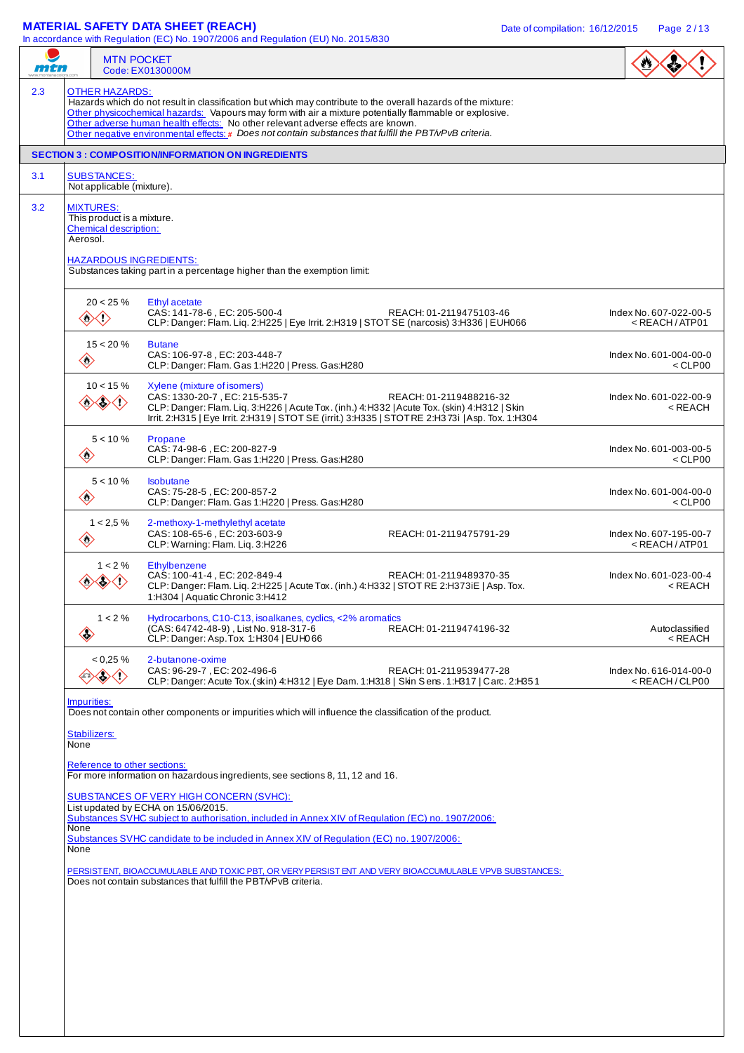## **MATERIAL SAFETY DATA SHEET (REACH)** Date of compilation: 16/12/2015 Page 2/13

In accordance with Regulation (EC) No. 1907/2006 and Regulation (EU) No. 2015/830  $\overline{\mathsf{r}}$ 

| $\cdots$                                                                                                                                                 | <b>MTN POCKET</b>                                                                          | Code: EX0130000M                                                                                                                                                                                                                                                                                                                                                                                                       |                                                           |  |  |  |  |
|----------------------------------------------------------------------------------------------------------------------------------------------------------|--------------------------------------------------------------------------------------------|------------------------------------------------------------------------------------------------------------------------------------------------------------------------------------------------------------------------------------------------------------------------------------------------------------------------------------------------------------------------------------------------------------------------|-----------------------------------------------------------|--|--|--|--|
|                                                                                                                                                          | <b>OTHER HAZARDS:</b>                                                                      | Hazards which do not result in classification but which may contribute to the overall hazards of the mixture:<br>Other physicochemical hazards: Vapours may form with air a mixture potentially flammable or explosive.<br>Other adverse human health effects: No other relevant adverse effects are known.<br>Other negative environmental effects: # Does not contain substances that fulfill the PBT/vPvB criteria. |                                                           |  |  |  |  |
|                                                                                                                                                          |                                                                                            | <b>SECTION 3 : COMPOSITION/INFORMATION ON INGREDIENTS</b>                                                                                                                                                                                                                                                                                                                                                              |                                                           |  |  |  |  |
|                                                                                                                                                          | <b>SUBSTANCES:</b><br>Not applicable (mixture).                                            |                                                                                                                                                                                                                                                                                                                                                                                                                        |                                                           |  |  |  |  |
|                                                                                                                                                          | <b>MIXTURES:</b><br>This product is a mixture.<br><b>Chemical description:</b><br>Aerosol. |                                                                                                                                                                                                                                                                                                                                                                                                                        |                                                           |  |  |  |  |
|                                                                                                                                                          |                                                                                            | <b>HAZARDOUS INGREDIENTS:</b><br>Substances taking part in a percentage higher than the exemption limit:                                                                                                                                                                                                                                                                                                               |                                                           |  |  |  |  |
|                                                                                                                                                          | $20 < 25 \%$<br>◇◇                                                                         | Ethyl acetate<br>CAS: 141-78-6, EC: 205-500-4<br>REACH: 01-2119475103-46<br>CLP: Danger: Flam. Liq. 2:H225   Eye Irrit. 2:H319   STOT SE (narcosis) 3:H336   EUH066                                                                                                                                                                                                                                                    | Index No. 607-022-00-5<br>$<$ REACH/ATP01                 |  |  |  |  |
| $\Leftrightarrow$                                                                                                                                        | $15 < 20 \%$                                                                               | <b>Butane</b><br>CAS: 106-97-8, EC: 203-448-7<br>CLP: Danger: Flam. Gas 1:H220   Press. Gas:H280                                                                                                                                                                                                                                                                                                                       | Index No. 601-004-00-0<br>$<$ CLP00                       |  |  |  |  |
| $\langle \rangle$                                                                                                                                        | $10 < 15 \%$<br>$\diamondsuit$                                                             | Xylene (mixture of isomers)<br>CAS: 1330-20-7, EC: 215-535-7<br>REACH: 01-2119488216-32<br>CLP: Danger: Flam. Liq. 3:H226   Acute Tox. (inh.) 4:H332   Acute Tox. (skin) 4:H312   Skin<br>Irrit. 2:H315   Eye Irrit. 2:H319   STOT SE (irrit.) 3:H335   STOT RE 2:H373i   Asp. Tox. 1:H304                                                                                                                             | Index No. 601-022-00-9<br><reach< td=""></reach<>         |  |  |  |  |
| ♦                                                                                                                                                        | $5 < 10 \%$                                                                                | Propane<br>CAS: 74-98-6, EC: 200-827-9<br>CLP: Danger: Flam. Gas 1:H220   Press. Gas:H280                                                                                                                                                                                                                                                                                                                              | Index No. 601-003-00-5<br>$<$ CLP00                       |  |  |  |  |
| $\diamondsuit$                                                                                                                                           | $5 < 10 \%$                                                                                | Isobutane<br>CAS: 75-28-5, EC: 200-857-2<br>CLP: Danger: Flam. Gas 1:H220   Press. Gas:H280                                                                                                                                                                                                                                                                                                                            | Index No. 601-004-00-0<br>$<$ CLP00                       |  |  |  |  |
| $\diamondsuit$                                                                                                                                           | $1 < 2.5 \%$                                                                               | 2-methoxy-1-methylethyl acetate<br>CAS: 108-65-6, EC: 203-603-9<br>REACH: 01-2119475791-29<br>CLP: Warning: Flam. Liq. 3:H226                                                                                                                                                                                                                                                                                          | Index No. 607-195-00-7<br><reach atp01<="" td=""></reach> |  |  |  |  |
|                                                                                                                                                          | $1 < 2\%$                                                                                  | Ethylbenzene<br>CAS: 100-41-4, EC: 202-849-4<br>REACH: 01-2119489370-35<br>CLP: Danger: Flam. Lig. 2:H225   Acute Tox. (inh.) 4:H332   STOT RE 2:H373iE   Asp. Tox.<br>1:H304   Aquatic Chronic 3:H412                                                                                                                                                                                                                 | Index No. 601-023-00-4<br><reach< td=""></reach<>         |  |  |  |  |
| $\Leftrightarrow$                                                                                                                                        | $1 < 2\%$                                                                                  | Hydrocarbons, C10-C13, isoalkanes, cyclics, <2% aromatics<br>(CAS: 64742-48-9), List No. 918-317-6<br>REACH: 01-2119474196-32<br>CLP: Danger: Asp. Tox 1:H304   EUH066                                                                                                                                                                                                                                                 | Autoclassified<br>< REACH                                 |  |  |  |  |
|                                                                                                                                                          | $< 0.25 \%$<br>◇◇                                                                          | 2-butanone-oxime<br>CAS: 96-29-7, EC: 202-496-6<br>REACH: 01-2119539477-28<br>CLP: Danger: Acute Tox. (skin) 4: H312   Eye Dam. 1: H318   Skin Sens. 1: H317   Carc. 2: H351                                                                                                                                                                                                                                           | Index No. 616-014-00-0<br><reach clp00<="" td=""></reach> |  |  |  |  |
| Impurities:<br>Stabilizers:<br>None                                                                                                                      |                                                                                            | Does not contain other components or impurities which will influence the classification of the product.                                                                                                                                                                                                                                                                                                                |                                                           |  |  |  |  |
| Reference to other sections:<br>For more information on hazardous ingredients, see sections 8, 11, 12 and 16.<br>SUBSTANCES OF VERY HIGH CONCERN (SVHC): |                                                                                            |                                                                                                                                                                                                                                                                                                                                                                                                                        |                                                           |  |  |  |  |
| None                                                                                                                                                     |                                                                                            | List updated by ECHA on 15/06/2015.<br>Substances SVHC subject to authorisation, included in Annex XIV of Regulation (EC) no. 1907/2006:<br>Substances SVHC candidate to be included in Annex XIV of Regulation (EC) no. 1907/2006:                                                                                                                                                                                    |                                                           |  |  |  |  |
| None                                                                                                                                                     |                                                                                            | PERSISTENT, BIOACCUMULABLE AND TOXIC PBT, OR VERY PERSIST ENT AND VERY BIOACCUMULABLE VPVB SUBSTANCES:<br>Does not contain substances that fulfill the PBT/vPvB criteria.                                                                                                                                                                                                                                              |                                                           |  |  |  |  |
|                                                                                                                                                          |                                                                                            |                                                                                                                                                                                                                                                                                                                                                                                                                        |                                                           |  |  |  |  |
|                                                                                                                                                          |                                                                                            |                                                                                                                                                                                                                                                                                                                                                                                                                        |                                                           |  |  |  |  |
|                                                                                                                                                          |                                                                                            |                                                                                                                                                                                                                                                                                                                                                                                                                        |                                                           |  |  |  |  |
|                                                                                                                                                          |                                                                                            |                                                                                                                                                                                                                                                                                                                                                                                                                        |                                                           |  |  |  |  |
|                                                                                                                                                          |                                                                                            |                                                                                                                                                                                                                                                                                                                                                                                                                        |                                                           |  |  |  |  |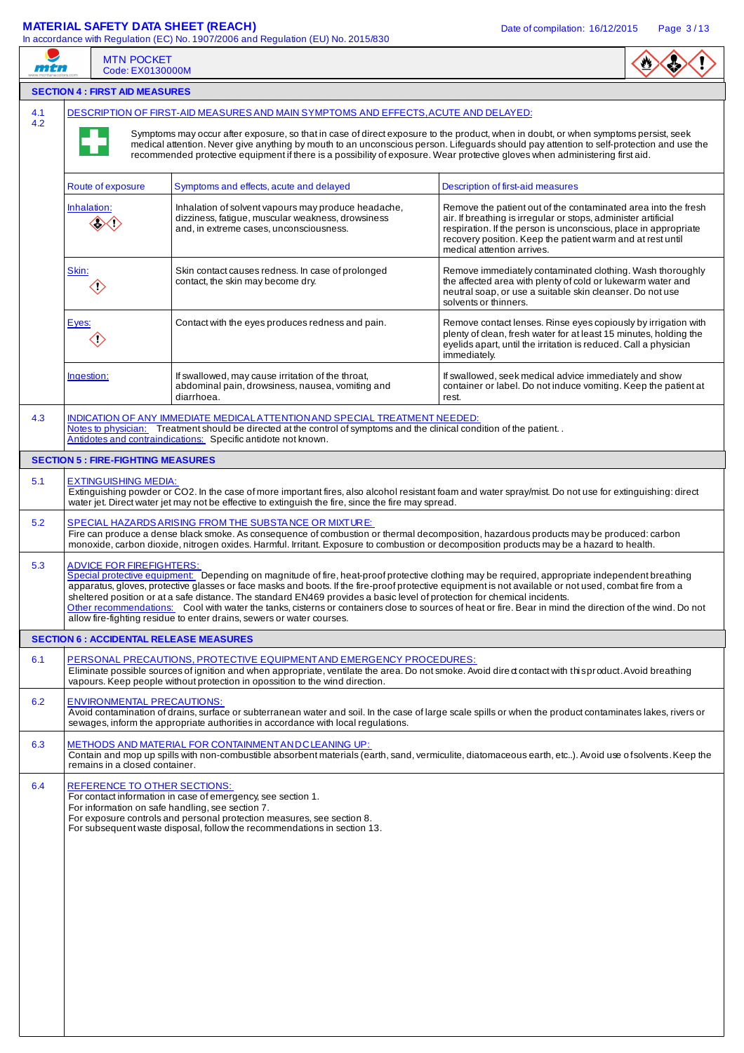# **MATERIAL SAFETY DATA SHEET (REACH)** Date of compilation: 16/12/2015 Page 3/13

| mtn | <b>MTN POCKET</b><br>Code: EX0130000M          | In accordance with Regulation (EC) No. 1907/2006 and Regulation (EU) No. 2015/830                                                                                                                                                                                                                                                                            |                                                                                                                                                                                                                                                                                                              |  |  |  |  |  |  |
|-----|------------------------------------------------|--------------------------------------------------------------------------------------------------------------------------------------------------------------------------------------------------------------------------------------------------------------------------------------------------------------------------------------------------------------|--------------------------------------------------------------------------------------------------------------------------------------------------------------------------------------------------------------------------------------------------------------------------------------------------------------|--|--|--|--|--|--|
|     | <b>SECTION 4 : FIRST AID MEASURES</b>          |                                                                                                                                                                                                                                                                                                                                                              |                                                                                                                                                                                                                                                                                                              |  |  |  |  |  |  |
| 4.1 |                                                | DESCRIPTION OF FIRST-AID MEASURES AND MAIN SYMPTOMS AND EFFECTS, ACUTE AND DELAYED:                                                                                                                                                                                                                                                                          |                                                                                                                                                                                                                                                                                                              |  |  |  |  |  |  |
| 4.2 |                                                | recommended protective equipment if there is a possibility of exposure. Wear protective gloves when administering first aid.                                                                                                                                                                                                                                 | Symptoms may occur after exposure, so that in case of direct exposure to the product, when in doubt, or when symptoms persist, seek<br>medical attention. Never give anything by mouth to an unconscious person. Lifeguards should pay attention to self-protection and use the                              |  |  |  |  |  |  |
|     | Route of exposure                              | Symptoms and effects, acute and delayed                                                                                                                                                                                                                                                                                                                      | Description of first-aid measures                                                                                                                                                                                                                                                                            |  |  |  |  |  |  |
|     | Inhalation:                                    | Inhalation of solvent vapours may produce headache,<br>dizziness, fatique, muscular weakness, drowsiness<br>and, in extreme cases, unconsciousness.                                                                                                                                                                                                          | Remove the patient out of the contaminated area into the fresh<br>air. If breathing is irregular or stops, administer artificial<br>respiration. If the person is unconscious, place in appropriate<br>recovery position. Keep the patient warm and at rest until<br>medical attention arrives.              |  |  |  |  |  |  |
|     | Skin:<br>$\diamondsuit$                        | Skin contact causes redness. In case of prolonged<br>contact, the skin may become dry.                                                                                                                                                                                                                                                                       | Remove immediately contaminated clothing. Wash thoroughly<br>the affected area with plenty of cold or lukewarm water and<br>neutral soap, or use a suitable skin cleanser. Do not use<br>solvents or thinners.                                                                                               |  |  |  |  |  |  |
|     | Eyes:<br>$\langle \rangle$                     | Contact with the eyes produces redness and pain.                                                                                                                                                                                                                                                                                                             | Remove contact lenses. Rinse eyes copiously by irrigation with<br>plenty of clean, fresh water for at least 15 minutes, holding the<br>eyelids apart, until the irritation is reduced. Call a physician<br>immediately.                                                                                      |  |  |  |  |  |  |
|     | Ingestion:                                     | If swallowed, may cause irritation of the throat,<br>abdominal pain, drowsiness, nausea, vomiting and<br>diarrhoea.                                                                                                                                                                                                                                          | If swallowed, seek medical advice immediately and show<br>container or label. Do not induce vomiting. Keep the patient at<br>rest.                                                                                                                                                                           |  |  |  |  |  |  |
| 4.3 |                                                | INDICATION OF ANY IMMEDIATE MEDICAL ATTENTION AND SPECIAL TREATMENT NEEDED:<br>Notes to physician: Treatment should be directed at the control of symptoms and the clinical condition of the patient<br>Antidotes and contraindications: Specific antidote not known.                                                                                        |                                                                                                                                                                                                                                                                                                              |  |  |  |  |  |  |
|     | <b>SECTION 5 : FIRE-FIGHTING MEASURES</b>      |                                                                                                                                                                                                                                                                                                                                                              |                                                                                                                                                                                                                                                                                                              |  |  |  |  |  |  |
| 5.1 | <b>EXTINGUISHING MEDIA:</b>                    | water jet. Direct water jet may not be effective to extinguish the fire, since the fire may spread.                                                                                                                                                                                                                                                          | Extinguishing powder or CO2. In the case of more important fires, also alcohol resistant foam and water spray/mist. Do not use for extinguishing: direct                                                                                                                                                     |  |  |  |  |  |  |
| 5.2 |                                                | SPECIAL HAZARDS ARISING FROM THE SUBSTANCE OR MIXTURE:<br>Fire can produce a dense black smoke. As consequence of combustion or thermal decomposition, hazardous products may be produced: carbon<br>monoxide, carbon dioxide, nitrogen oxides. Harmful. Irritant. Exposure to combustion or decomposition products may be a hazard to health.               |                                                                                                                                                                                                                                                                                                              |  |  |  |  |  |  |
| 5.3 | <b>ADVICE FOR FIREFIGHTERS:</b>                | apparatus, gloves, protective glasses or face masks and boots. If the fire-proof protective equipment is not available or not used, combat fire from a<br>sheltered position or at a safe distance. The standard EN469 provides a basic level of protection for chemical incidents.<br>allow fire-fighting residue to enter drains, sewers or water courses. | Special protective equipment: Depending on magnitude of fire, heat-proof protective clothing may be required, appropriate independent breathing<br>Other recommendations: Cool with water the tanks, cisterns or containers close to sources of heat or fire. Bear in mind the direction of the wind. Do not |  |  |  |  |  |  |
|     | <b>SECTION 6 : ACCIDENTAL RELEASE MEASURES</b> |                                                                                                                                                                                                                                                                                                                                                              |                                                                                                                                                                                                                                                                                                              |  |  |  |  |  |  |
| 6.1 |                                                | PERSONAL PRECAUTIONS, PROTECTIVE EQUIPMENT AND EMERGENCY PROCEDURES:<br>vapours. Keep people without protection in opossition to the wind direction.                                                                                                                                                                                                         | Eliminate possible sources of ignition and when appropriate, ventilate the area. Do not smoke. Avoid dired contact with this product. Avoid breathing                                                                                                                                                        |  |  |  |  |  |  |
| 6.2 | <b>ENVIRONMENTAL PRECAUTIONS:</b>              | sewages, inform the appropriate authorities in accordance with local regulations.                                                                                                                                                                                                                                                                            | Avoid contamination of drains, surface or subterranean water and soil. In the case of large scale spills or when the product contaminates lakes, rivers or                                                                                                                                                   |  |  |  |  |  |  |
| 6.3 | remains in a closed container.                 | METHODS AND MATERIAL FOR CONTAINMENT AND CLEANING UP:                                                                                                                                                                                                                                                                                                        | Contain and mop up spills with non-combustible absorbent materials (earth, sand, vermiculite, diatomaceous earth, etc). Avoid use of solvents. Keep the                                                                                                                                                      |  |  |  |  |  |  |
| 6.4 | REFERENCE TO OTHER SECTIONS:                   | For contact information in case of emergency, see section 1.<br>For information on safe handling, see section 7.<br>For exposure controls and personal protection measures, see section 8.<br>For subsequent waste disposal, follow the recommendations in section 13.                                                                                       |                                                                                                                                                                                                                                                                                                              |  |  |  |  |  |  |
|     |                                                |                                                                                                                                                                                                                                                                                                                                                              |                                                                                                                                                                                                                                                                                                              |  |  |  |  |  |  |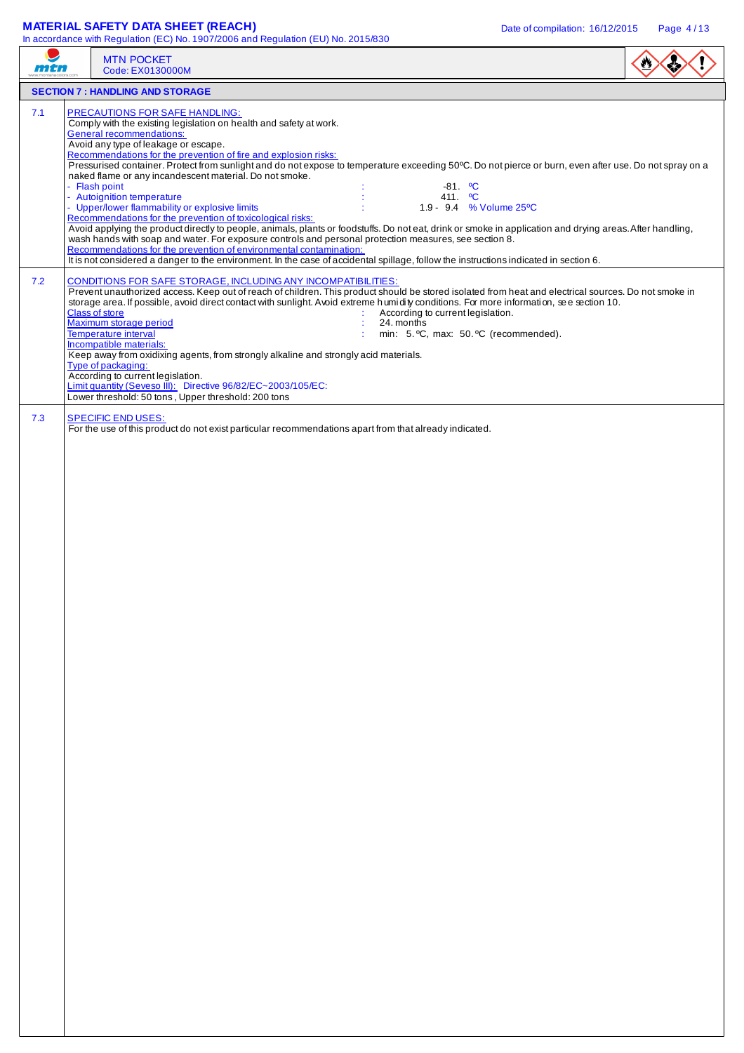## **MATERIAL SAFETY DATA SHEET (REACH)** Date of compilation: 16/12/2015 Page 4/13

In accordance with Regulation (EC) No. 1907/2006 and Regulation (EU) No. 2015/830

|     | <b>MTN POCKET</b><br>Code: EX0130000M                                                                                                                                                                                                                                                                                                                                                                                                                                                                                                                                                                                                                                                                                                                                                                                                                                                                                                                                                                                                                                                                                                                                                |  |
|-----|--------------------------------------------------------------------------------------------------------------------------------------------------------------------------------------------------------------------------------------------------------------------------------------------------------------------------------------------------------------------------------------------------------------------------------------------------------------------------------------------------------------------------------------------------------------------------------------------------------------------------------------------------------------------------------------------------------------------------------------------------------------------------------------------------------------------------------------------------------------------------------------------------------------------------------------------------------------------------------------------------------------------------------------------------------------------------------------------------------------------------------------------------------------------------------------|--|
|     | <b>SECTION 7: HANDLING AND STORAGE</b>                                                                                                                                                                                                                                                                                                                                                                                                                                                                                                                                                                                                                                                                                                                                                                                                                                                                                                                                                                                                                                                                                                                                               |  |
| 7.1 | PRECAUTIONS FOR SAFE HANDLING:<br>Comply with the existing legislation on health and safety at work.<br>General recommendations:<br>Avoid any type of leakage or escape.<br>Recommendations for the prevention of fire and explosion risks:<br>Pressurised container. Protect from sunlight and do not expose to temperature exceeding 50°C. Do not pierce or burn, even after use. Do not spray on a<br>naked flame or any incandescent material. Do not smoke.<br>- Flash point<br>$-81.$ °C<br>- Autoignition temperature<br>411. <sup>o</sup> C<br>- Upper/lower flammability or explosive limits<br>1.9 - 9.4 % Volume 25°C<br>Recommendations for the prevention of toxicological risks:<br>Avoid applying the product directly to people, animals, plants or foodstuffs. Do not eat, drink or smoke in application and drying areas. After handling,<br>wash hands with soap and water. For exposure controls and personal protection measures, see section 8.<br>Recommendations for the prevention of environmental contamination:<br>It is not considered a danger to the environment. In the case of accidental spillage, follow the instructions indicated in section 6. |  |
| 7.2 | CONDITIONS FOR SAFE STORAGE, INCLUDING ANY INCOMPATIBILITIES:<br>Prevent unauthorized access. Keep out of reach of children. This product should be stored isolated from heat and electrical sources. Do not smoke in<br>storage area. If possible, avoid direct contact with sunlight. Avoid extreme h umidity conditions. For more information, see section 10.<br><b>Class of store</b><br>According to current legislation.<br>Maximum storage period<br>24. months<br>Temperature interval<br>min: 5. °C, max: 50. °C (recommended).<br>Incompatible materials:<br>Keep away from oxidixing agents, from strongly alkaline and strongly acid materials.<br>Type of packaging:<br>According to current legislation.<br>Limit quantity (Seveso III): Directive 96/82/EC~2003/105/EC:<br>Lower threshold: 50 tons, Upper threshold: 200 tons                                                                                                                                                                                                                                                                                                                                       |  |
| 7.3 | <b>SPECIFIC END USES:</b><br>For the use of this product do not exist particular recommendations apart from that already indicated.                                                                                                                                                                                                                                                                                                                                                                                                                                                                                                                                                                                                                                                                                                                                                                                                                                                                                                                                                                                                                                                  |  |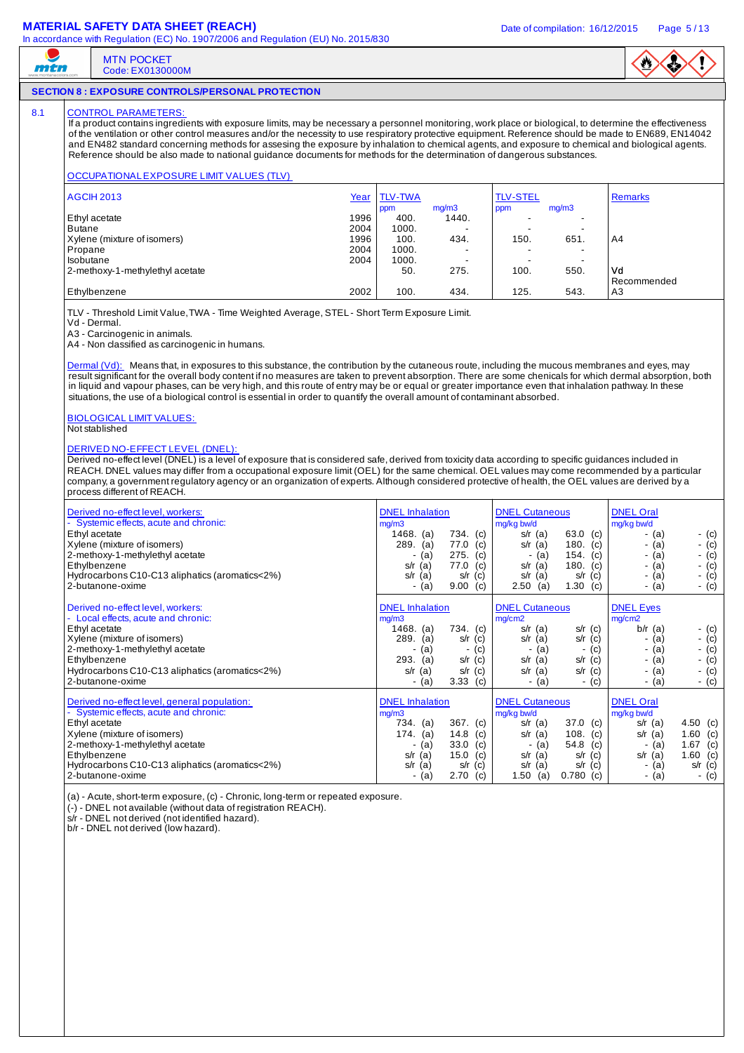### **MATERIAL SAFETY DATA SHEET (REACH)** Date of compilation: 16/12/2015 Page 5/13

MTN POCKET Code: EX0130000M



#### **SECTION 8 : EXPOSURE CONTROLS/PERSONAL PROTECTION**

#### 8.1 CONTROL PARAMETERS

mtn

If a product contains ingredients with exposure limits, may be necessary a personnel monitoring, work place or biological, to determine the effectiveness of the ventilation or other control measures and/or the necessity to use respiratory protective equipment. Reference should be made to EN689, EN14042 and EN482 standard concerning methods for assesing the exposure by inhalation to chemical agents, and exposure to chemical and biological agents. Reference should be also made to national guidance documents for methods for the determination of dangerous substances.

#### OCCUPATIONAL EXPOSURE LIMIT VALUES (TLV)

| <b>AGCIH 2013</b>               | Year | <b>TLV-TWA</b> |                          | <b>TLV-STEL</b> |                          | <b>Remarks</b> |
|---------------------------------|------|----------------|--------------------------|-----------------|--------------------------|----------------|
|                                 |      | ppm            | mq/m3                    | ppm             | mq/m3                    |                |
| Ethyl acetate                   | 1996 | 400.           | 1440.                    |                 |                          |                |
| <b>Butane</b>                   | 2004 | 1000.          |                          |                 | -                        |                |
| Xylene (mixture of isomers)     | 1996 | 100.           | 434.                     | 150.            | 651.                     | A4             |
| Propane                         | 2004 | 1000.          | -                        |                 | -                        |                |
| Isobutane                       | 2004 | 1000.          | $\overline{\phantom{a}}$ |                 | $\overline{\phantom{a}}$ |                |
| 2-methoxy-1-methylethyl acetate |      | 50.            | 275.                     | 100.            | 550.                     | Vd             |
|                                 |      |                |                          |                 |                          | Recommended    |
| Ethylbenzene                    | 2002 | 100.           | 434.                     | 125.            | 543.                     | A3             |

TLV - Threshold Limit Value, TWA - Time Weighted Average, STEL - Short Term Exposure Limit.

Vd - Dermal.

A3 - Carcinogenic in animals.

A4 - Non classified as carcinogenic in humans.

Dermal (Vd): Means that, in exposures to this substance, the contribution by the cutaneous route, including the mucous membranes and eyes, may result significant for the overall body content if no measures are taken to prevent absorption. There are some chenicals for which dermal absorption, both in liquid and vapour phases, can be very high, and this route of entry may be or equal or greater importance even that inhalation pathway. In these situations, the use of a biological control is essential in order to quantify the overall amount of contaminant absorbed.

# BIOLOGICAL LIMIT VALUES:

Not stablished

#### DERIVED NO-EFFECT LEVEL (DNEL):

Derived no-effect level (DNEL) is a level of exposure that is considered safe, derived from toxicity data according to specific quidances included in REACH. DNEL values may differ from a occupational exposure limit (OEL) for the same chemical. OEL values may come recommended by a particular company, a government regulatory agency or an organization of experts. Although considered protective of health, the OEL values are derived by a process different of REACH.

| Derived no-effect level, workers:<br>- Systemic effects, acute and chronic:<br>Ethyl acetate<br>Xylene (mixture of isomers)<br>2-methoxy-1-methylethyl acetate<br>Ethylbenzene<br>Hydrocarbons C10-C13 aliphatics (aromatics<2%)<br>2-butanone-oxime            | <b>DNEL</b> Inhalation<br>mg/m3<br>1468.<br>734.<br>(a)<br>(c)<br>289.<br>77.0<br>(a)<br>(c)<br>275.<br>(c)<br>(a)<br>77.0<br>(c)<br>(a)<br>s/r<br>(a)<br>s/r<br>(c)<br>s/r<br>(c)<br>9.00<br>(a)     | <b>DNEL Cutaneous</b><br>mg/kg bw/d<br>63.0 (c)<br>$s/r$ (a)<br>180.<br>(c)<br>s/r $(a)$<br>154.<br>(c)<br>(a)<br>180.<br>$s/r$ (a)<br>(c)<br>s/r<br>(c)<br>(a)<br>s/r<br>1.30<br>2.50<br>(a)<br>(c)      | <b>DNEL Oral</b><br>mg/kg bw/d<br>- (c)<br>- (a)<br>- $(c)$<br>- (a)<br>- (c)<br>- (a)<br>- $(c)$<br>- (a)<br>$-$ (c)<br>- (a)<br>- $(c)$<br>- (a)                        |
|-----------------------------------------------------------------------------------------------------------------------------------------------------------------------------------------------------------------------------------------------------------------|-------------------------------------------------------------------------------------------------------------------------------------------------------------------------------------------------------|-----------------------------------------------------------------------------------------------------------------------------------------------------------------------------------------------------------|---------------------------------------------------------------------------------------------------------------------------------------------------------------------------|
| Derived no-effect level, workers:<br>- Local effects, acute and chronic:<br>Ethyl acetate<br>Xylene (mixture of isomers)<br>2-methoxy-1-methylethyl acetate<br>Ethylbenzene<br>Hydrocarbons C10-C13 aliphatics (aromatics<2%)<br>2-butanone-oxime               | <b>DNEL</b> Inhalation<br>mg/m3<br>734.<br>1468.<br>(a)<br>(c)<br>289.<br>(a)<br>s/r<br>(c)<br>(c)<br>(a)<br>٠<br>293.<br>(a)<br>$s/r$ (c)<br>(a)<br>s/r<br>(c)<br>s/r<br>3.33<br>(c)<br>(a)<br>۰     | <b>DNEL Cutaneous</b><br>mg/cm2<br>$s/r$ (a)<br>$s/r$ (c)<br>$s/r$ (c)<br>s/r<br>(a)<br>(c)<br>(a)<br>$s/r$ (c)<br>$s/r$ (a)<br>$s/r$ (c)<br>s/r $(a)$<br>(a)<br>- (c)<br>$\blacksquare$                  | <b>DNEL Eyes</b><br>mg/cm2<br>$b/r$ (a)<br>- (c)<br>- (c)<br>(a)<br>- (c)<br>- (a)<br>- (c)<br>- (a)<br>$-$ (c)<br>- (a)<br>- $(c)$<br>- (a)                              |
| Derived no-effect level, general population:<br>- Systemic effects, acute and chronic:<br>Ethyl acetate<br>Xylene (mixture of isomers)<br>2-methoxy-1-methylethyl acetate<br>Ethylbenzene<br>Hydrocarbons C10-C13 aliphatics (aromatics<2%)<br>2-butanone-oxime | <b>DNEL</b> Inhalation<br>mg/m3<br>367.<br>734.<br>(a)<br>(c)<br>14.8<br>174.<br>(c)<br>(a)<br>33.0<br>(c)<br>(a)<br>-<br>15.0<br>(c)<br>s/r<br>(a)<br>s/r<br>(a)<br>(c)<br>s/r<br>2.70<br>(c)<br>(a) | <b>DNEL Cutaneous</b><br>mg/kg bw/d<br>$37.0$ (c)<br>$s/r$ (a)<br>108.<br>(c)<br>s/r $(a)$<br>54.8<br>(c)<br>(a)<br>٠<br>$s/r$ (c)<br>$s/r$ (a)<br>$s/r$ (c)<br>s/r<br>(a)<br>1.50<br>0.780<br>(a)<br>(c) | <b>DNEL Oral</b><br>mg/kg bw/d<br>4.50 (c)<br>$s/r$ (a)<br>1.60 (c)<br>(a)<br>s/r<br>1.67 (c)<br>- (a)<br>$s/r$ (a)<br>1.60 (c)<br>- (a)<br>$s/r$ (c)<br>$-$ (c)<br>- (a) |

(a) - Acute, short-term exposure, (c) - Chronic, long-term or repeated exposure.

(-) - DNEL not available (without data of registration REACH).

s/r - DNEL not derived (not identified hazard).

b/r - DNEL not derived (low hazard).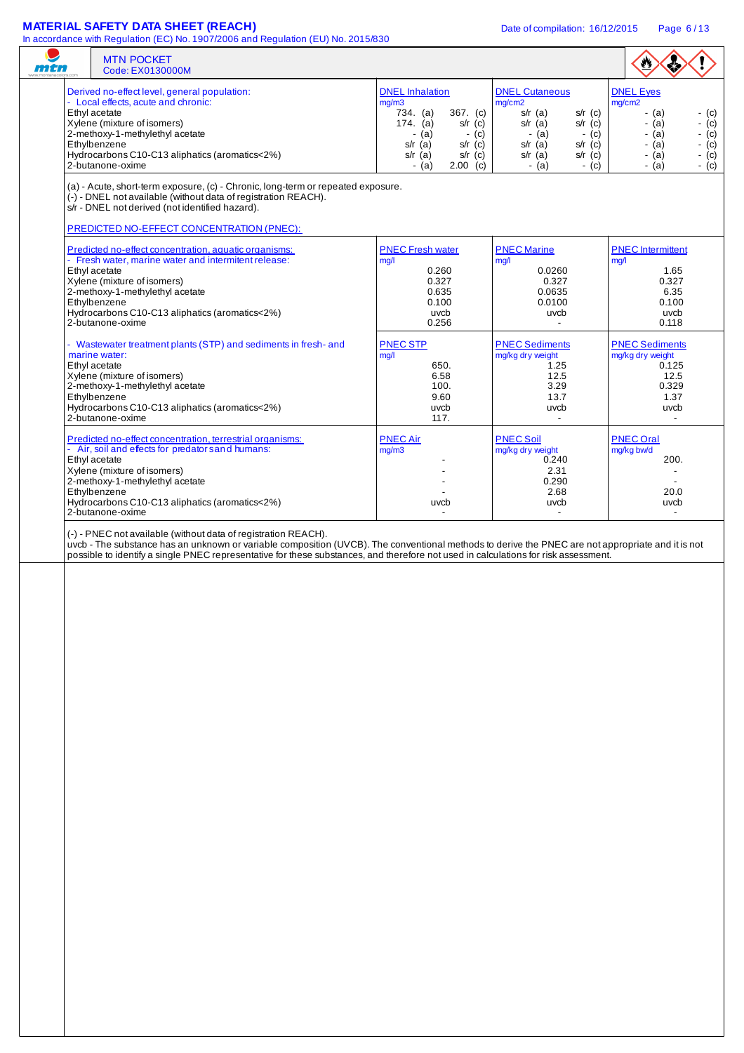## **MATERIAL SAFETY DATA SHEET (REACH)** Date of compilation: 16/12/2015 Page 6/13

|  | <b>MTN POCKET</b><br>Code: EX0130000M                                                                                                                                                                                                                                                                                                                      |                                                  |                                                  |                                           |
|--|------------------------------------------------------------------------------------------------------------------------------------------------------------------------------------------------------------------------------------------------------------------------------------------------------------------------------------------------------------|--------------------------------------------------|--------------------------------------------------|-------------------------------------------|
|  | Derived no-effect level, general population:                                                                                                                                                                                                                                                                                                               | <b>DNEL</b> Inhalation                           | <b>DNEL Cutaneous</b>                            | <b>DNEL Eyes</b>                          |
|  | - Local effects, acute and chronic:<br>Ethyl acetate                                                                                                                                                                                                                                                                                                       | mg/m3<br>734. (a)<br>$367.$ (c)                  | mg/cm2<br>$s/r$ (c)<br>$s/r$ (a)                 | mg/cm2<br>$-$ (a)<br>$-$ (c)              |
|  | Xylene (mixture of isomers)<br>2-methoxy-1-methylethyl acetate                                                                                                                                                                                                                                                                                             | $174.$ (a)<br>$s/r$ (c)<br>$-$ (a)<br>$-$ (c)    | $s/r$ (a)<br>$s/r$ (c)<br>$-$ (a)<br>$-$ (c)     | $-$ (a)<br>- (c)<br>$-$ (a)<br>- $(c)$    |
|  | Ethylbenzene<br>Hydrocarbons C10-C13 aliphatics (aromatics<2%)                                                                                                                                                                                                                                                                                             | $s/r$ (a)<br>$s/r$ (c)<br>$s/r$ (a)<br>$s/r$ (c) | $s/r$ (a)<br>$s/r$ (c)<br>$s/r$ (a)<br>$s/r$ (c) | - $(c)$<br>- (a)<br>$-(c)$<br>$-$ (a)     |
|  | 2-butanone-oxime                                                                                                                                                                                                                                                                                                                                           | - (a)<br>$2.00$ (c)                              | $-$ (a)<br>- (c)                                 | $-(c)$<br>- (a)                           |
|  | (a) - Acute, short-term exposure, (c) - Chronic, long-term or repeated exposure.<br>(-) - DNEL not available (without data of registration REACH).<br>s/r - DNEL not derived (not identified hazard).<br>PREDICTED NO-EFFECT CONCENTRATION (PNEC):                                                                                                         |                                                  |                                                  |                                           |
|  |                                                                                                                                                                                                                                                                                                                                                            |                                                  |                                                  |                                           |
|  | Predicted no-effect concentration, aquatic organisms:<br>- Fresh water, marine water and intermitent release:                                                                                                                                                                                                                                              | <b>PNEC Fresh water</b><br>mq/l                  | <b>PNEC Marine</b><br>mg/l                       | <b>PNEC</b> Intermittent<br>mq/1          |
|  | Ethyl acetate<br>Xylene (mixture of isomers)                                                                                                                                                                                                                                                                                                               | 0.260<br>0.327                                   | 0.0260<br>0.327                                  | 1.65<br>0.327                             |
|  | 2-methoxy-1-methylethyl acetate                                                                                                                                                                                                                                                                                                                            | 0.635                                            | 0.0635                                           | 6.35                                      |
|  | Ethylbenzene<br>Hydrocarbons C10-C13 aliphatics (aromatics<2%)                                                                                                                                                                                                                                                                                             | 0.100<br>uvcb                                    | 0.0100<br>uvcb                                   | 0.100<br>uvcb                             |
|  | 2-butanone-oxime                                                                                                                                                                                                                                                                                                                                           | 0.256                                            |                                                  | 0.118                                     |
|  | - Wastewater treatment plants (STP) and sediments in fresh- and<br>marine water:                                                                                                                                                                                                                                                                           | <b>PNEC STP</b><br>mg/l                          | <b>PNEC Sediments</b><br>mg/kg dry weight        | <b>PNEC Sediments</b><br>mg/kg dry weight |
|  | Ethyl acetate                                                                                                                                                                                                                                                                                                                                              | 650.                                             | 1.25                                             | 0.125                                     |
|  | Xylene (mixture of isomers)<br>2-methoxy-1-methylethyl acetate                                                                                                                                                                                                                                                                                             | 6.58<br>100.                                     | 12.5<br>3.29                                     | 12.5<br>0.329                             |
|  | Ethylbenzene<br>Hydrocarbons C10-C13 aliphatics (aromatics<2%)                                                                                                                                                                                                                                                                                             | 9.60<br>uvcb                                     | 13.7<br>uvcb                                     | 1.37<br>uvcb                              |
|  | 2-butanone-oxime                                                                                                                                                                                                                                                                                                                                           | 117.                                             | $\blacksquare$                                   | $\blacksquare$                            |
|  | Predicted no-effect concentration, terrestrial organisms:                                                                                                                                                                                                                                                                                                  | <b>PNEC Air</b>                                  | <b>PNEC Soil</b>                                 | <b>PNEC Oral</b>                          |
|  | - Air, soil and effects for predator s and humans:<br>Ethyl acetate                                                                                                                                                                                                                                                                                        | mg/m3                                            | mg/kg dry weight<br>0.240                        | mg/kg bw/d<br>200.                        |
|  | Xylene (mixture of isomers)<br>2-methoxy-1-methylethyl acetate                                                                                                                                                                                                                                                                                             |                                                  | 2.31<br>0.290                                    |                                           |
|  | Ethylbenzene                                                                                                                                                                                                                                                                                                                                               |                                                  | 2.68                                             | 20.0                                      |
|  | Hydrocarbons C10-C13 aliphatics (aromatics<2%)<br>2-butanone-oxime                                                                                                                                                                                                                                                                                         | uvcb                                             | uvcb<br>$\blacksquare$                           | uvcb<br>$\overline{\phantom{a}}$          |
|  | (-) - PNEC not available (without data of registration REACH).<br>uvcb - The substance has an unknown or variable composition (UVCB). The conventional methods to derive the PNEC are not appropriate and it is not<br>possible to identify a single PNEC representative for these substances, and therefore not used in calculations for risk assessment. |                                                  |                                                  |                                           |
|  |                                                                                                                                                                                                                                                                                                                                                            |                                                  |                                                  |                                           |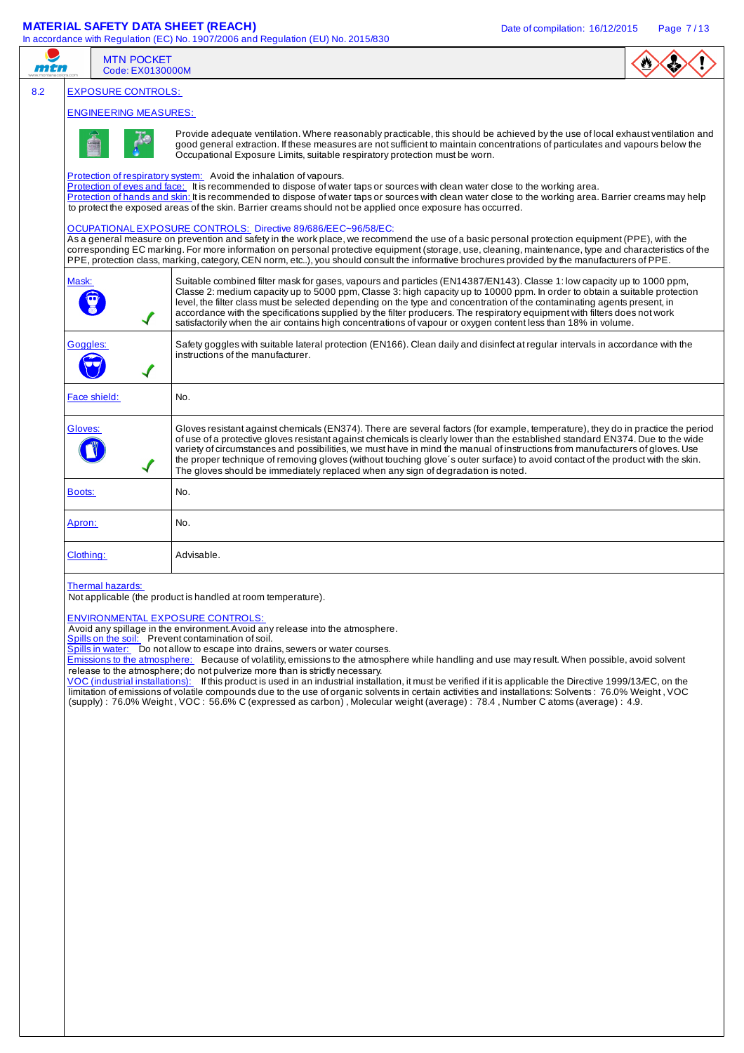## **MATERIAL SAFETY DATA SHEET (REACH)** Date of compilation: 16/12/2015 Page 7/13

In accordance with Regulation (EC) No. 1907/2006 and Regulation (EU) No. 2015/830

|     |                                                                                                                                                                                                                                                                                                                                                                                                                                                                                                                          | <b>MTN POCKET</b><br>Code: EX0130000M |                                                                                                                                                                                                                                                                                                                                                                                                                                                                                                                                                                                                                                                                                                                                                                                                                                                                                                                                                                                                                                |  |  |  |  |
|-----|--------------------------------------------------------------------------------------------------------------------------------------------------------------------------------------------------------------------------------------------------------------------------------------------------------------------------------------------------------------------------------------------------------------------------------------------------------------------------------------------------------------------------|---------------------------------------|--------------------------------------------------------------------------------------------------------------------------------------------------------------------------------------------------------------------------------------------------------------------------------------------------------------------------------------------------------------------------------------------------------------------------------------------------------------------------------------------------------------------------------------------------------------------------------------------------------------------------------------------------------------------------------------------------------------------------------------------------------------------------------------------------------------------------------------------------------------------------------------------------------------------------------------------------------------------------------------------------------------------------------|--|--|--|--|
| 8.2 |                                                                                                                                                                                                                                                                                                                                                                                                                                                                                                                          | <b>EXPOSURE CONTROLS:</b>             |                                                                                                                                                                                                                                                                                                                                                                                                                                                                                                                                                                                                                                                                                                                                                                                                                                                                                                                                                                                                                                |  |  |  |  |
|     | <b>ENGINEERING MEASURES:</b>                                                                                                                                                                                                                                                                                                                                                                                                                                                                                             |                                       |                                                                                                                                                                                                                                                                                                                                                                                                                                                                                                                                                                                                                                                                                                                                                                                                                                                                                                                                                                                                                                |  |  |  |  |
|     |                                                                                                                                                                                                                                                                                                                                                                                                                                                                                                                          |                                       | Provide adequate ventilation. Where reasonably practicable, this should be achieved by the use of local exhaust ventilation and<br>good general extraction. If these measures are not sufficient to maintain concentrations of particulates and vapours below the<br>Occupational Exposure Limits, suitable respiratory protection must be worn.                                                                                                                                                                                                                                                                                                                                                                                                                                                                                                                                                                                                                                                                               |  |  |  |  |
|     | Protection of respiratory system: Avoid the inhalation of vapours.<br>Protection of eyes and face: It is recommended to dispose of water taps or sources with clean water close to the working area.<br>Protection of hands and skin: It is recommended to dispose of water taps or sources with clean water close to the working area. Barrier creams may help<br>to protect the exposed areas of the skin. Barrier creams should not be applied once exposure has occurred.                                            |                                       |                                                                                                                                                                                                                                                                                                                                                                                                                                                                                                                                                                                                                                                                                                                                                                                                                                                                                                                                                                                                                                |  |  |  |  |
|     | OCUPATIONAL EXPOSURE CONTROLS: Directive 89/686/EEC~96/58/EC:<br>As a general measure on prevention and safety in the work place, we recommend the use of a basic personal protection equipment (PPE), with the<br>corresponding EC marking. For more information on personal protective equipment (storage, use, cleaning, maintenance, type and characteristics of the<br>PPE, protection class, marking, category, CEN norm, etc), you should consult the informative brochures provided by the manufacturers of PPE. |                                       |                                                                                                                                                                                                                                                                                                                                                                                                                                                                                                                                                                                                                                                                                                                                                                                                                                                                                                                                                                                                                                |  |  |  |  |
|     | Mask:                                                                                                                                                                                                                                                                                                                                                                                                                                                                                                                    | $\blacktriangledown$                  | Suitable combined filter mask for gases, vapours and particles (EN14387/EN143). Classe 1: low capacity up to 1000 ppm,<br>Classe 2: medium capacity up to 5000 ppm, Classe 3: high capacity up to 10000 ppm. In order to obtain a suitable protection<br>level, the filter class must be selected depending on the type and concentration of the contaminating agents present, in<br>accordance with the specifications supplied by the filter producers. The respiratory equipment with filters does not work<br>satisfactorily when the air contains high concentrations of vapour or oxygen content less than 18% in volume.                                                                                                                                                                                                                                                                                                                                                                                                |  |  |  |  |
|     | Goggles:                                                                                                                                                                                                                                                                                                                                                                                                                                                                                                                 |                                       | Safety goggles with suitable lateral protection (EN166). Clean daily and disinfect at regular intervals in accordance with the<br>instructions of the manufacturer.                                                                                                                                                                                                                                                                                                                                                                                                                                                                                                                                                                                                                                                                                                                                                                                                                                                            |  |  |  |  |
|     | Face shield:                                                                                                                                                                                                                                                                                                                                                                                                                                                                                                             |                                       | No.                                                                                                                                                                                                                                                                                                                                                                                                                                                                                                                                                                                                                                                                                                                                                                                                                                                                                                                                                                                                                            |  |  |  |  |
|     | Gloves:                                                                                                                                                                                                                                                                                                                                                                                                                                                                                                                  |                                       | Gloves resistant against chemicals (EN374). There are several factors (for example, temperature), they do in practice the period<br>of use of a protective gloves resistant against chemicals is clearly lower than the established standard EN374. Due to the wide<br>variety of circumstances and possibilities, we must have in mind the manual of instructions from manufacturers of gloves. Use<br>the proper technique of removing gloves (without touching glove's outer surface) to avoid contact of the product with the skin.<br>The gloves should be immediately replaced when any sign of degradation is noted.                                                                                                                                                                                                                                                                                                                                                                                                    |  |  |  |  |
|     | Boots:                                                                                                                                                                                                                                                                                                                                                                                                                                                                                                                   |                                       | No.                                                                                                                                                                                                                                                                                                                                                                                                                                                                                                                                                                                                                                                                                                                                                                                                                                                                                                                                                                                                                            |  |  |  |  |
|     | Apron:                                                                                                                                                                                                                                                                                                                                                                                                                                                                                                                   |                                       | No.                                                                                                                                                                                                                                                                                                                                                                                                                                                                                                                                                                                                                                                                                                                                                                                                                                                                                                                                                                                                                            |  |  |  |  |
|     | Clothing:                                                                                                                                                                                                                                                                                                                                                                                                                                                                                                                |                                       | Advisable.                                                                                                                                                                                                                                                                                                                                                                                                                                                                                                                                                                                                                                                                                                                                                                                                                                                                                                                                                                                                                     |  |  |  |  |
|     |                                                                                                                                                                                                                                                                                                                                                                                                                                                                                                                          | Thermal hazards:                      | Not applicable (the product is handled at room temperature).<br><b>ENVIRONMENTAL EXPOSURE CONTROLS:</b><br>Avoid any spillage in the environment. Avoid any release into the atmosphere.<br>Spills on the soil: Prevent contamination of soil.<br>Spills in water: Do not allow to escape into drains, sewers or water courses.<br>Emissions to the atmosphere: Because of volatility, emissions to the atmosphere while handling and use may result. When possible, avoid solvent<br>release to the atmosphere; do not pulverize more than is strictly necessary.<br>VOC (industrial installations): If this product is used in an industrial installation, it must be verified if it is applicable the Directive 1999/13/EC, on the<br>limitation of emissions of volatile compounds due to the use of organic solvents in certain activities and installations: Solvents: 76.0% Weight, VOC<br>(supply): 76.0% Weight, VOC: 56.6% C (expressed as carbon), Molecular weight (average): 78.4, Number C atoms (average): 4.9. |  |  |  |  |
|     |                                                                                                                                                                                                                                                                                                                                                                                                                                                                                                                          |                                       |                                                                                                                                                                                                                                                                                                                                                                                                                                                                                                                                                                                                                                                                                                                                                                                                                                                                                                                                                                                                                                |  |  |  |  |
|     |                                                                                                                                                                                                                                                                                                                                                                                                                                                                                                                          |                                       |                                                                                                                                                                                                                                                                                                                                                                                                                                                                                                                                                                                                                                                                                                                                                                                                                                                                                                                                                                                                                                |  |  |  |  |
|     |                                                                                                                                                                                                                                                                                                                                                                                                                                                                                                                          |                                       |                                                                                                                                                                                                                                                                                                                                                                                                                                                                                                                                                                                                                                                                                                                                                                                                                                                                                                                                                                                                                                |  |  |  |  |
|     |                                                                                                                                                                                                                                                                                                                                                                                                                                                                                                                          |                                       |                                                                                                                                                                                                                                                                                                                                                                                                                                                                                                                                                                                                                                                                                                                                                                                                                                                                                                                                                                                                                                |  |  |  |  |
|     |                                                                                                                                                                                                                                                                                                                                                                                                                                                                                                                          |                                       |                                                                                                                                                                                                                                                                                                                                                                                                                                                                                                                                                                                                                                                                                                                                                                                                                                                                                                                                                                                                                                |  |  |  |  |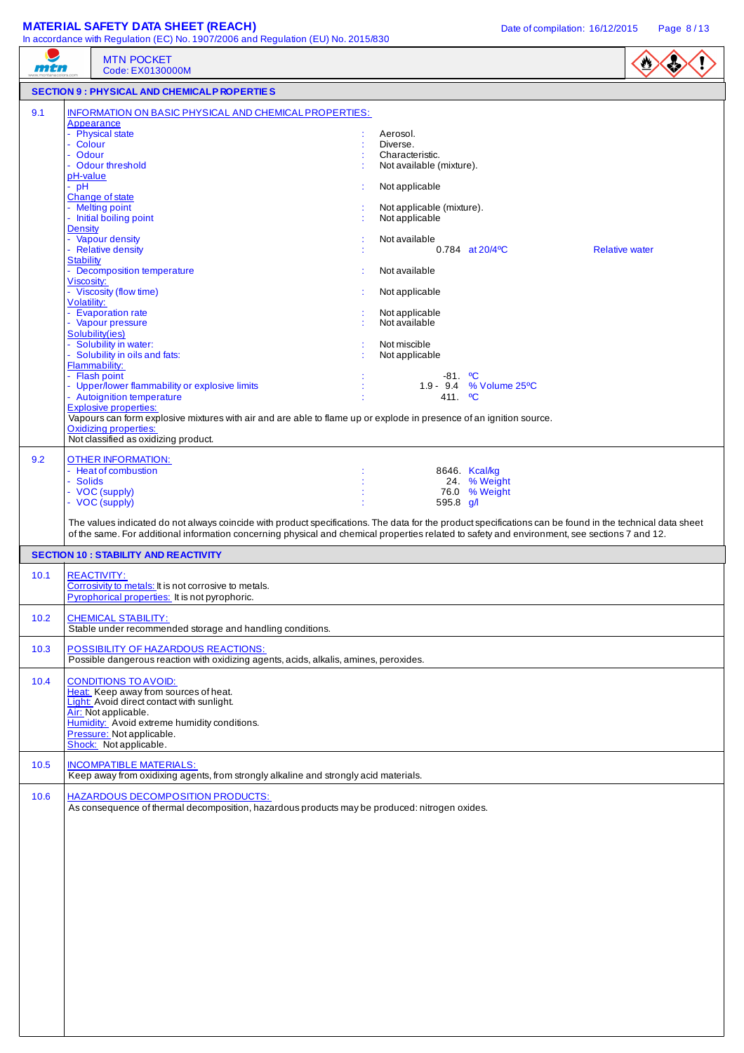# **MATERIAL SAFETY DATA SHEET (REACH)** Date of compilation: 16/12/2015 Page 8/13

 $\overline{\phantom{a}}$ 

|      | In accordance with Regulation (EC) No. 1907/2006 and Regulation (EU) No. 2015/830                                                                                                                                                                                                                                                                                                                               |                                                                            |           |  |  |  |
|------|-----------------------------------------------------------------------------------------------------------------------------------------------------------------------------------------------------------------------------------------------------------------------------------------------------------------------------------------------------------------------------------------------------------------|----------------------------------------------------------------------------|-----------|--|--|--|
| mtn  | <b>MTN POCKET</b><br>Code: EX0130000M                                                                                                                                                                                                                                                                                                                                                                           |                                                                            | $\bullet$ |  |  |  |
|      | <b>SECTION 9 : PHYSICAL AND CHEMICALP ROPERTIES</b>                                                                                                                                                                                                                                                                                                                                                             |                                                                            |           |  |  |  |
| 9.1  | INFORMATION ON BASIC PHYSICAL AND CHEMICAL PROPERTIES:<br>Appearance<br>- Physical state<br>- Colour<br>- Odour<br>- Odour threshold<br>pH-value                                                                                                                                                                                                                                                                | Aerosol.<br>Diverse.<br>Characteristic.<br>Not available (mixture).        |           |  |  |  |
|      | $-$ pH<br>Change of state<br>- Melting point<br>- Initial boiling point                                                                                                                                                                                                                                                                                                                                         | Not applicable<br>Not applicable (mixture).<br>Not applicable              |           |  |  |  |
|      | <b>Density</b><br>- Vapour density<br>- Relative density<br>Stability                                                                                                                                                                                                                                                                                                                                           | Not available<br>$0.784$ at $20/4$ <sup>o</sup> C<br><b>Relative water</b> |           |  |  |  |
|      | - Decomposition temperature<br>Viscosity:<br>- Viscosity (flow time)                                                                                                                                                                                                                                                                                                                                            | Not available                                                              |           |  |  |  |
|      | <b>Volatility:</b><br>- Evaporation rate<br>- Vapour pressure                                                                                                                                                                                                                                                                                                                                                   | Not applicable<br>Not applicable<br>Not available                          |           |  |  |  |
|      | Solubility(ies)<br>- Solubility in water:<br>- Solubility in oils and fats:<br>Flammability:                                                                                                                                                                                                                                                                                                                    | Not miscible<br>Not applicable                                             |           |  |  |  |
|      | - Flash point<br>- Upper/lower flammability or explosive limits<br>- Autoignition temperature<br><b>Explosive properties:</b><br>Vapours can form explosive mixtures with air and are able to flame up or explode in presence of an ignition source.<br><b>Oxidizing properties:</b><br>Not classified as oxidizing product.                                                                                    | $-81.$ °C<br>1.9 - 9.4 % Volume 25°C<br>411. <sup>o</sup> C                |           |  |  |  |
| 9.2  | <b>OTHER INFORMATION:</b><br>- Heat of combustion<br>- Solids<br>- VOC (supply)<br>- VOC (supply)<br>The values indicated do not always coincide with product specifications. The data for the product specifications can be found in the technical data sheet<br>of the same. For additional information concerning physical and chemical properties related to safety and environment, see sections 7 and 12. | 8646. Kcal/kg<br>24. % Weight<br>76.0 % Weight<br>595.8 $q/l$              |           |  |  |  |
|      | <b>SECTION 10 : STABILITY AND REACTIVITY</b>                                                                                                                                                                                                                                                                                                                                                                    |                                                                            |           |  |  |  |
| 10.1 | <b>REACTIVITY:</b><br>Corrosivity to metals: It is not corrosive to metals.<br>Pyrophorical properties: It is not pyrophoric.                                                                                                                                                                                                                                                                                   |                                                                            |           |  |  |  |
| 10.2 | <b>CHEMICAL STABILITY:</b><br>Stable under recommended storage and handling conditions.                                                                                                                                                                                                                                                                                                                         |                                                                            |           |  |  |  |
| 10.3 | POSSIBILITY OF HAZARDOUS REACTIONS:<br>Possible dangerous reaction with oxidizing agents, acids, alkalis, amines, peroxides.                                                                                                                                                                                                                                                                                    |                                                                            |           |  |  |  |
| 10.4 | <b>CONDITIONS TO AVOID:</b><br>Heat: Keep away from sources of heat.<br>Light: Avoid direct contact with sunlight.<br>Air: Not applicable.<br>Humidity: Avoid extreme humidity conditions.<br>Pressure: Not applicable.<br>Shock: Not applicable.                                                                                                                                                               |                                                                            |           |  |  |  |
| 10.5 | <b>INCOMPATIBLE MATERIALS:</b><br>Keep away from oxidixing agents, from strongly alkaline and strongly acid materials.                                                                                                                                                                                                                                                                                          |                                                                            |           |  |  |  |
| 10.6 | <b>HAZARDOUS DECOMPOSITION PRODUCTS:</b><br>As consequence of thermal decomposition, hazardous products may be produced: nitrogen oxides.                                                                                                                                                                                                                                                                       |                                                                            |           |  |  |  |
|      |                                                                                                                                                                                                                                                                                                                                                                                                                 |                                                                            |           |  |  |  |
|      |                                                                                                                                                                                                                                                                                                                                                                                                                 |                                                                            |           |  |  |  |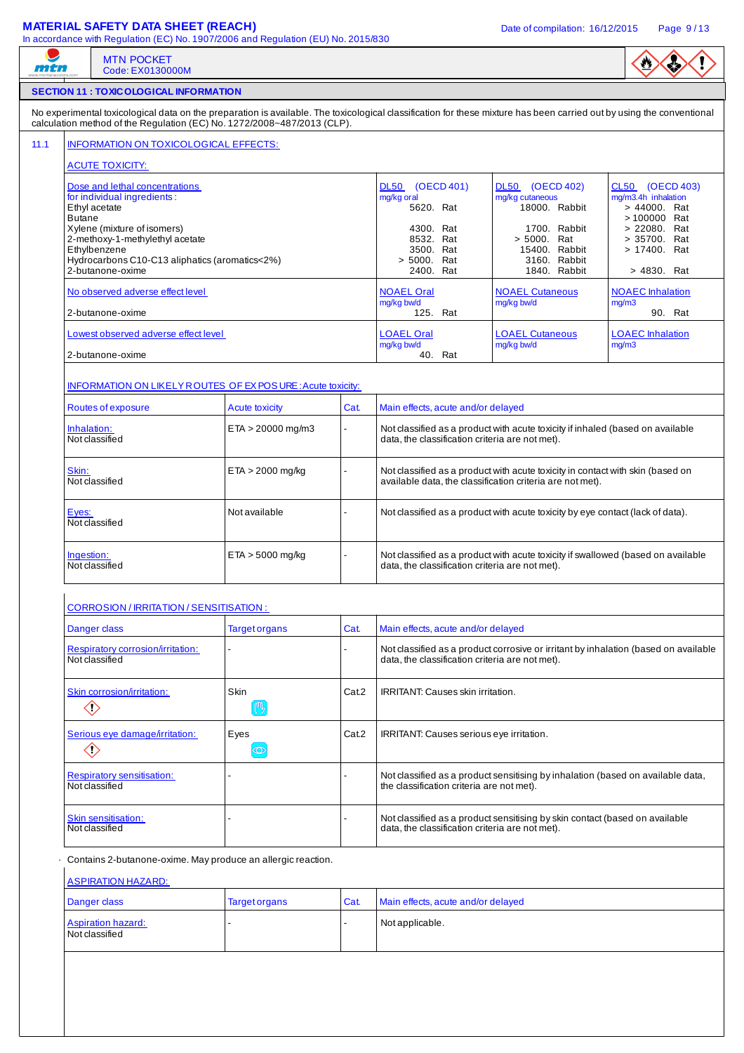## **MATERIAL SAFETY DATA SHEET (REACH)** Date of compilation: 16/12/2015 Page 9/13

Not classified

In accordance with Regulation (EC) No. 1907/2006 and Regulation (EU) No. 2015/830

$$
\langle \mathbf{0} \rangle \langle \mathbf{0} \rangle \langle \mathbf{1} \rangle
$$

# MTN POCKET mtn Code: EX0130000M **SECTION 11 : TOXICOLOGICAL INFORMATION** No experimental toxicological data on the preparation is available. The toxicological classification for these mixture has been carried out by using the conventional calculation method of the Regulation (EC) No. 1272/2008~487/2013 (CLP). 11.1 | INFORMATION ON TOXICOLOGICAL EFFECTS: ACUTE TOXICITY: Dose and lethal concentrations DL50 (OECD 401) DL50 (OECD 402) CL50 (OECD 403) for individual ingredients : mg/kg oral mg/kg cutaneous mg/m3.4h inhalation<br>5620. Rat 18000. Rabbit > 44000. Rat 18000. Rabbit  $\begin{vmatrix} 0 & 0 & 44000 \\ 0 & 1 & 440000 \\ 0 & 1 & 4400000 \end{vmatrix}$  Rat Butane > 100000 Rat Xylene (mixture of isomers) and the same of isomers) and the same of isomers and the set of the set of the set of the set of the set of the set of the set of the set of the set of the set of the set of the set of the set o 2-methoxy-1-methylethyl acetate and the state and the state and the state and the state and the state and the state and the state and the state and the state and the state and the state and the state and the state and the Ethylbenzene 3500. Rat 15400. Rabbit > 17400. Rat Hydrocarbons C10-C13 aliphatics (aromatics<2%)  $\longrightarrow$  5000. Rat 3160. Rabbit 2-butanone-oxime 3160. Rabbit 3160. 2-butanone-oxime 2400. Rat 1840. Rabbit > 4830. Rat No observed adverse effect level NOAEL Oral NOAEL Oral NOAEL Cutaneous NOAEC Inhalation mg/kg bw/d mg/kg bw/d mg/m3 2-butanone-oxime 125. Rat 125. Rat 125. Rat 125. Rat 125. Rat 125. Rat 125. Rat 125. Rat 125. Rat 125. Rat 125 Lowest observed adverse effect level LOAEL Cutaneous LOAEL Cutaneous LOAEC Inhalation mg/kg bw/d mg/kg bw/d mg/m3 2-butanone-oxime INFORMATION ON LIKELY ROUTES OF EX POS URE : Acute toxicity: Routes of exposure **Acute toxicity** Cat. Main effects, acute and/or delayed  $\frac{Inhalation:}{Not classification:}$  ETA > 20000 mg/m3  $\frac{Inhalation:}{Not classification criterion:}$  and the classified as a product with acute toxicity if inhaled (based on available data, the classification criteria are not met).  $\begin{array}{|l|l|}\n\hline\n\text{Skin:} \\
\hline\n\text{Not classified as a product with acute toxicity in contact with skin (based on available data, the classification criteria are not met).\n\end{array}$ available data, the classification criteria are not met). Eyes:  $\vert$  Not available  $\vert$   $\vert$   $\vert$   $\vert$  Not classified as a product with acute toxicity by eye contact (lack of data). Not classified  $\frac{Ingestion:}{Inestion:}$  ETA > 5000 mg/kg  $\leftarrow$  Not classified as a product with acute toxicity if swallowed (based on available data, the classification criteria are not met). CORROSION / IRRITATION / SENSITISATION : Danger class **Target organs** Cat. Main effects, acute and/or delayed Respiratory corrosion/irritation: Not classified as a product corrosive or irritant by inhalation (based on available Not classified data, the classification criteria are not met). Skin corrosion/irritation: Skin Skin Internation: Skin IRRITANT: Causes skin irritation. | 帆 ◇ Serious eye damage/irritation:  $\vert$  Eyes  $\vert$  Cat.2  $\vert$  IRRITANT: Causes serious eye irritation.  $\langle \rangle$  $\circledcirc$ Respiratory sensitisation: - Not classified as a product sensitising by inhalation (based on available data, Not classified the classification criteria are not met). Skin sensitisation: - Not classified as a product sensitising by skin contact (based on available Not classified data, the classification criteria are not met). Contains 2-butanone-oxime. May produce an allergic reaction. ASPIRATION HAZARD: Danger class Target organs Cat. Main effects, acute and/or delayed Aspiration hazard:  $\vert$  -  $\vert$  -  $\vert$  Not applicable.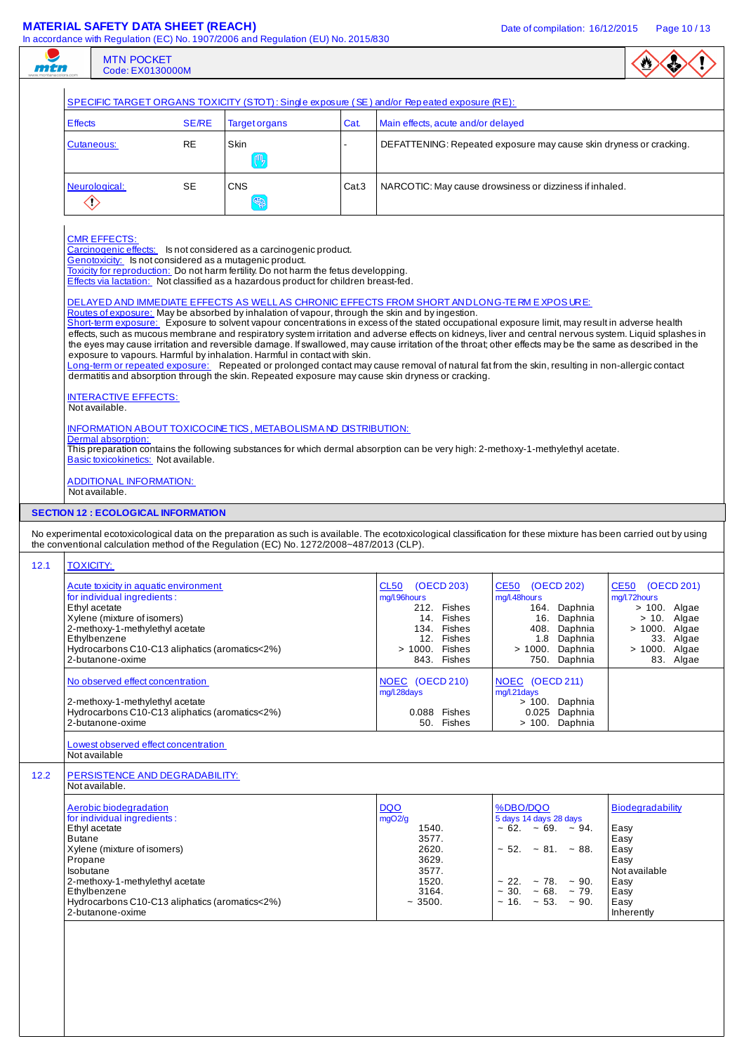| man    |                                                                                                                                                                                                                                                                                                                                                                                                                                                                                                                                        | <b>MTN POCKET</b><br>Code: EX0130000M                                                                                                                                                                                                         |              | $\sim$ 0.000 dation with regulation (EO) rio. Too rizooo dha regulation (EO) rio. 20 10/000                                                                                    |                                                                                               |                                                                                                                                                                                                                    |                                                                                                                                                                                                                                                                                                                                                                                                                                                                                                                                                                                                                            |                                                                                                                                  |
|--------|----------------------------------------------------------------------------------------------------------------------------------------------------------------------------------------------------------------------------------------------------------------------------------------------------------------------------------------------------------------------------------------------------------------------------------------------------------------------------------------------------------------------------------------|-----------------------------------------------------------------------------------------------------------------------------------------------------------------------------------------------------------------------------------------------|--------------|--------------------------------------------------------------------------------------------------------------------------------------------------------------------------------|-----------------------------------------------------------------------------------------------|--------------------------------------------------------------------------------------------------------------------------------------------------------------------------------------------------------------------|----------------------------------------------------------------------------------------------------------------------------------------------------------------------------------------------------------------------------------------------------------------------------------------------------------------------------------------------------------------------------------------------------------------------------------------------------------------------------------------------------------------------------------------------------------------------------------------------------------------------------|----------------------------------------------------------------------------------------------------------------------------------|
|        |                                                                                                                                                                                                                                                                                                                                                                                                                                                                                                                                        |                                                                                                                                                                                                                                               |              | SPECIFIC TARGET ORGANS TOXICITY (STOT): Single exposure (SE) and/or Repeated exposure (RE):                                                                                    |                                                                                               |                                                                                                                                                                                                                    |                                                                                                                                                                                                                                                                                                                                                                                                                                                                                                                                                                                                                            |                                                                                                                                  |
|        | <b>Effects</b>                                                                                                                                                                                                                                                                                                                                                                                                                                                                                                                         |                                                                                                                                                                                                                                               | <b>SE/RE</b> | <b>Target organs</b>                                                                                                                                                           | Cat.                                                                                          | Main effects, acute and/or delayed                                                                                                                                                                                 |                                                                                                                                                                                                                                                                                                                                                                                                                                                                                                                                                                                                                            |                                                                                                                                  |
|        |                                                                                                                                                                                                                                                                                                                                                                                                                                                                                                                                        | <b>RE</b><br>Skin<br>DEFATTENING: Repeated exposure may cause skin dryness or cracking.<br>Cutaneous:<br>吗                                                                                                                                    |              |                                                                                                                                                                                |                                                                                               |                                                                                                                                                                                                                    |                                                                                                                                                                                                                                                                                                                                                                                                                                                                                                                                                                                                                            |                                                                                                                                  |
|        | $\diamondsuit$                                                                                                                                                                                                                                                                                                                                                                                                                                                                                                                         | Neurological:                                                                                                                                                                                                                                 | SE           | <b>CNS</b><br>ER                                                                                                                                                               | Cat.3                                                                                         | NARCOTIC: May cause drowsiness or dizziness if inhaled.                                                                                                                                                            |                                                                                                                                                                                                                                                                                                                                                                                                                                                                                                                                                                                                                            |                                                                                                                                  |
|        | <b>CMR EFFECTS:</b><br>Carcinogenic effects: Is not considered as a carcinogenic product.<br>Genotoxicity: Is not considered as a mutagenic product.<br>Toxicity for reproduction: Do not harm fertility. Do not harm the fetus developping.<br>Effects via lactation: Not classified as a hazardous product for children breast-fed.<br>DELAYED AND IMMEDIATE EFFECTS AS WELLAS CHRONIC EFFECTS FROM SHORT ANDLONG-TE RM EXPOSURE:<br>Routes of exposure: May be absorbed by inhalation of vapour, through the skin and by ingestion. |                                                                                                                                                                                                                                               |              |                                                                                                                                                                                |                                                                                               |                                                                                                                                                                                                                    |                                                                                                                                                                                                                                                                                                                                                                                                                                                                                                                                                                                                                            |                                                                                                                                  |
|        |                                                                                                                                                                                                                                                                                                                                                                                                                                                                                                                                        | <b>INTERACTIVE EFFECTS:</b><br>Not available.                                                                                                                                                                                                 |              | exposure to vapours. Harmful by inhalation. Harmful in contact with skin.<br>dermatitis and absorption through the skin. Repeated exposure may cause skin dryness or cracking. |                                                                                               |                                                                                                                                                                                                                    | Short-term exposure: Exposure to solvent vapour concentrations in excess of the stated occupational exposure limit, may result in adverse health<br>effects, such as mucous membrane and respiratory system irritation and adverse effects on kidneys, liver and central nervous system. Liquid splashes in<br>the eyes may cause irritation and reversible damage. If swallowed, may cause irritation of the throat; other effects may be the same as described in the<br>Long-term or repeated exposure: Repeated or prolonged contact may cause removal of natural fat from the skin, resulting in non-allergic contact |                                                                                                                                  |
|        |                                                                                                                                                                                                                                                                                                                                                                                                                                                                                                                                        | Dermal absorption:<br>Basic toxicokinetics: Not available.                                                                                                                                                                                    |              | <b>INFORMATION ABOUT TOXICOCINE TICS, METABOLISM AND DISTRIBUTION:</b>                                                                                                         |                                                                                               |                                                                                                                                                                                                                    | This preparation contains the following substances for which dermal absorption can be very high: 2-methoxy-1-methylethyl acetate.                                                                                                                                                                                                                                                                                                                                                                                                                                                                                          |                                                                                                                                  |
|        |                                                                                                                                                                                                                                                                                                                                                                                                                                                                                                                                        | <b>ADDITIONAL INFORMATION:</b><br>Not available.                                                                                                                                                                                              |              |                                                                                                                                                                                |                                                                                               |                                                                                                                                                                                                                    |                                                                                                                                                                                                                                                                                                                                                                                                                                                                                                                                                                                                                            |                                                                                                                                  |
|        |                                                                                                                                                                                                                                                                                                                                                                                                                                                                                                                                        | <b>SECTION 12 : ECOLOGICAL INFORMATION</b>                                                                                                                                                                                                    |              | the conventional calculation method of the Regulation (EC) No. 1272/2008~487/2013 (CLP).                                                                                       |                                                                                               |                                                                                                                                                                                                                    | No experimental ecotoxicological data on the preparation as such is available. The ecotoxicological classification for these mixture has been carried out by using                                                                                                                                                                                                                                                                                                                                                                                                                                                         |                                                                                                                                  |
| 12.1   | <b>TOXICITY:</b>                                                                                                                                                                                                                                                                                                                                                                                                                                                                                                                       | Acute toxicity in aquatic environment<br>for individual ingredients:<br>Ethyl acetate<br>Xylene (mixture of isomers)<br>2-methoxy-1-methylethyl acetate<br>Ethylbenzene<br>Hydrocarbons C10-C13 aliphatics (aromatics<2%)<br>2-butanone-oxime |              |                                                                                                                                                                                |                                                                                               | CL50 (OECD 203)<br>mg/l.96hours<br>212. Fishes<br>14. Fishes<br>134. Fishes<br>12. Fishes<br>> 1000. Fishes<br>843. Fishes                                                                                         | CE50 (OECD 202)<br>mg/l.48hours<br>164. Daphnia<br>16. Daphnia<br>408. Daphnia<br>1.8 Daphnia<br>> 1000. Daphnia<br>750. Daphnia                                                                                                                                                                                                                                                                                                                                                                                                                                                                                           | CE50 (OECD 201)<br>mg/l.72hours<br>$> 100$ . Algae<br>$> 10$ . Algae<br>> 1000. Algae<br>33. Algae<br>> 1000. Algae<br>83. Algae |
|        |                                                                                                                                                                                                                                                                                                                                                                                                                                                                                                                                        | No observed effect concentration<br>2-methoxy-1-methylethyl acetate<br>Hydrocarbons C10-C13 aliphatics (aromatics<2%)<br>2-butanone-oxime                                                                                                     |              |                                                                                                                                                                                |                                                                                               | NOEC (OECD 210)<br>mg/l.28days<br>0.088 Fishes<br>50. Fishes                                                                                                                                                       | NOEC (OECD 211)<br>mg/l.21days<br>> 100. Daphnia<br>0.025 Daphnia<br>> 100. Daphnia                                                                                                                                                                                                                                                                                                                                                                                                                                                                                                                                        |                                                                                                                                  |
|        |                                                                                                                                                                                                                                                                                                                                                                                                                                                                                                                                        | Lowest observed effect concentration<br>Not available                                                                                                                                                                                         |              |                                                                                                                                                                                |                                                                                               |                                                                                                                                                                                                                    |                                                                                                                                                                                                                                                                                                                                                                                                                                                                                                                                                                                                                            |                                                                                                                                  |
| $12.2$ |                                                                                                                                                                                                                                                                                                                                                                                                                                                                                                                                        | PERSISTENCE AND DEGRADABILITY:                                                                                                                                                                                                                |              |                                                                                                                                                                                |                                                                                               |                                                                                                                                                                                                                    |                                                                                                                                                                                                                                                                                                                                                                                                                                                                                                                                                                                                                            |                                                                                                                                  |
|        | Not available.<br>Aerobic biodegradation<br>for individual ingredients:<br>Ethyl acetate<br><b>Butane</b><br>Xylene (mixture of isomers)<br>Propane<br>Isobutane<br>2-methoxy-1-methylethyl acetate<br>Ethylbenzene<br>Hydrocarbons C10-C13 aliphatics (aromatics<2%)<br>2-butanone-oxime                                                                                                                                                                                                                                              |                                                                                                                                                                                                                                               |              |                                                                                                                                                                                | <b>DQO</b><br>mgO2/g<br>1540.<br>3577.<br>2620.<br>3629.<br>3577.<br>1520.<br>3164.<br>~1500. | %DBO/DQO<br>5 days 14 days 28 days<br>$\sim 62. \sim 69. \sim 94.$<br>$\sim$ 52. $\sim$ 81. $\sim$ 88.<br>$\sim$ 22. $\sim$ 78. $\sim$ 90.<br>$\sim$ 30. $\sim$ 68. $\sim$ 79.<br>$\sim$ 16. $\sim$ 53. $\sim$ 90. | <b>Biodegradability</b><br>Easy<br>Easy<br>Easy<br>Easy<br>Not available<br>Easy<br>Easy<br>Easy<br>Inherently                                                                                                                                                                                                                                                                                                                                                                                                                                                                                                             |                                                                                                                                  |
|        |                                                                                                                                                                                                                                                                                                                                                                                                                                                                                                                                        |                                                                                                                                                                                                                                               |              |                                                                                                                                                                                |                                                                                               |                                                                                                                                                                                                                    |                                                                                                                                                                                                                                                                                                                                                                                                                                                                                                                                                                                                                            |                                                                                                                                  |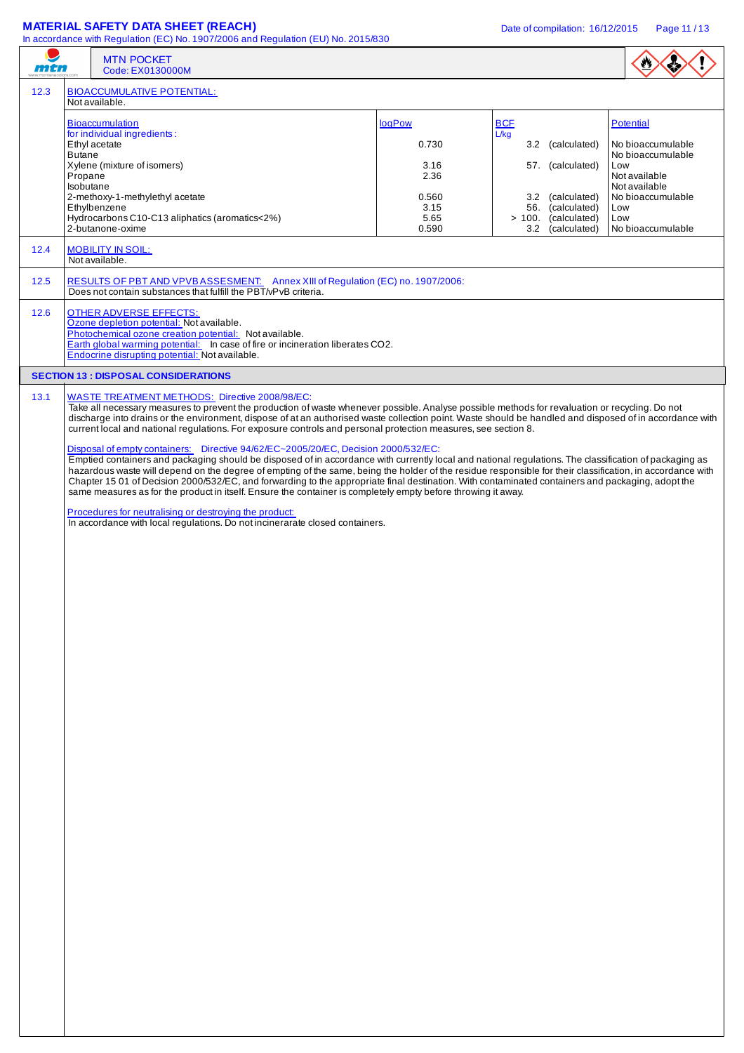|      |                                       | <b>MATERIAL SAFETY DATA SHEET (REACH)</b><br>In accordance with Regulation (EC) No. 1907/2006 and Regulation (EU) No. 2015/830                                                                                                                                                                                                                                                                                                                                                                                                                                                                                                                                                                                                                                                                                                                                                                                                                                                                                                                            |                                | Date of compilation: 16/12/2015                                                 | Page 11/13                                                 |
|------|---------------------------------------|-----------------------------------------------------------------------------------------------------------------------------------------------------------------------------------------------------------------------------------------------------------------------------------------------------------------------------------------------------------------------------------------------------------------------------------------------------------------------------------------------------------------------------------------------------------------------------------------------------------------------------------------------------------------------------------------------------------------------------------------------------------------------------------------------------------------------------------------------------------------------------------------------------------------------------------------------------------------------------------------------------------------------------------------------------------|--------------------------------|---------------------------------------------------------------------------------|------------------------------------------------------------|
| mtn  |                                       | <b>MTN POCKET</b><br>Code: EX0130000M                                                                                                                                                                                                                                                                                                                                                                                                                                                                                                                                                                                                                                                                                                                                                                                                                                                                                                                                                                                                                     |                                |                                                                                 |                                                            |
| 12.3 |                                       | <b>BIOACCUMULATIVE POTENTIAL:</b><br>Not available.                                                                                                                                                                                                                                                                                                                                                                                                                                                                                                                                                                                                                                                                                                                                                                                                                                                                                                                                                                                                       |                                |                                                                                 |                                                            |
|      | Ethyl acetate                         | <b>Bioaccumulation</b><br>for individual ingredients:                                                                                                                                                                                                                                                                                                                                                                                                                                                                                                                                                                                                                                                                                                                                                                                                                                                                                                                                                                                                     | logPow<br>0.730                | <b>BCF</b><br>L/kg<br>3.2 (calculated)                                          | Potential<br>No bioaccumulable                             |
|      | <b>Butane</b><br>Propane<br>Isobutane | Xylene (mixture of isomers)                                                                                                                                                                                                                                                                                                                                                                                                                                                                                                                                                                                                                                                                                                                                                                                                                                                                                                                                                                                                                               | 3.16<br>2.36                   | 57. (calculated)                                                                | No bioaccumulable<br>Low<br>Not available<br>Not available |
|      |                                       | 2-methoxy-1-methylethyl acetate<br>Ethylbenzene<br>Hydrocarbons C10-C13 aliphatics (aromatics<2%)<br>2-butanone-oxime                                                                                                                                                                                                                                                                                                                                                                                                                                                                                                                                                                                                                                                                                                                                                                                                                                                                                                                                     | 0.560<br>3.15<br>5.65<br>0.590 | 3.2 (calculated)<br>56. (calculated)<br>> 100. (calculated)<br>3.2 (calculated) | No bioaccumulable<br>Low<br>Low<br>No bioaccumulable       |
| 12.4 |                                       | <b>MOBILITY IN SOIL:</b><br>Not available.                                                                                                                                                                                                                                                                                                                                                                                                                                                                                                                                                                                                                                                                                                                                                                                                                                                                                                                                                                                                                |                                |                                                                                 |                                                            |
| 12.5 |                                       | RESULTS OF PBT AND VPVBASSESMENT: Annex XIII of Regulation (EC) no. 1907/2006:<br>Does not contain substances that fulfill the PBT/vPvB criteria.                                                                                                                                                                                                                                                                                                                                                                                                                                                                                                                                                                                                                                                                                                                                                                                                                                                                                                         |                                |                                                                                 |                                                            |
| 12.6 |                                       | <b>OTHER ADVERSE EFFECTS:</b><br>Ozone depletion potential: Not available.<br>Photochemical ozone creation potential: Not available.<br>Earth global warming potential: In case of fire or incineration liberates CO2.<br>Endocrine disrupting potential: Not available.                                                                                                                                                                                                                                                                                                                                                                                                                                                                                                                                                                                                                                                                                                                                                                                  |                                |                                                                                 |                                                            |
|      |                                       | <b>SECTION 13 : DISPOSAL CONSIDERATIONS</b>                                                                                                                                                                                                                                                                                                                                                                                                                                                                                                                                                                                                                                                                                                                                                                                                                                                                                                                                                                                                               |                                |                                                                                 |                                                            |
| 13.1 |                                       | <b>WASTE TREATMENT METHODS:</b> Directive 2008/98/EC:<br>Take all necessary measures to prevent the production of waste whenever possible. Analyse possible methods for revaluation or recycling. Do not<br>discharge into drains or the environment, dispose of at an authorised waste collection point. Waste should be handled and disposed of in accordance with<br>current local and national regulations. For exposure controls and personal protection measures, see section 8.<br>Disposal of empty containers: Directive 94/62/EC~2005/20/EC, Decision 2000/532/EC:<br>Emptied containers and packaging should be disposed of in accordance with currently local and national regulations. The classification of packaging as<br>hazardous waste will depend on the degree of empting of the same, being the holder of the residue responsible for their classification, in accordance with<br>Chapter 15 01 of Decision 2000/532/EC, and forwarding to the appropriate final destination. With contaminated containers and packaging, adopt the |                                |                                                                                 |                                                            |
|      |                                       | same measures as for the product in itself. Ensure the container is completely empty before throwing it away.<br>Procedures for neutralising or destroying the product:                                                                                                                                                                                                                                                                                                                                                                                                                                                                                                                                                                                                                                                                                                                                                                                                                                                                                   |                                |                                                                                 |                                                            |
|      |                                       | In accordance with local regulations. Do not incinerarate closed containers.                                                                                                                                                                                                                                                                                                                                                                                                                                                                                                                                                                                                                                                                                                                                                                                                                                                                                                                                                                              |                                |                                                                                 |                                                            |
|      |                                       |                                                                                                                                                                                                                                                                                                                                                                                                                                                                                                                                                                                                                                                                                                                                                                                                                                                                                                                                                                                                                                                           |                                |                                                                                 |                                                            |
|      |                                       |                                                                                                                                                                                                                                                                                                                                                                                                                                                                                                                                                                                                                                                                                                                                                                                                                                                                                                                                                                                                                                                           |                                |                                                                                 |                                                            |
|      |                                       |                                                                                                                                                                                                                                                                                                                                                                                                                                                                                                                                                                                                                                                                                                                                                                                                                                                                                                                                                                                                                                                           |                                |                                                                                 |                                                            |
|      |                                       |                                                                                                                                                                                                                                                                                                                                                                                                                                                                                                                                                                                                                                                                                                                                                                                                                                                                                                                                                                                                                                                           |                                |                                                                                 |                                                            |
|      |                                       |                                                                                                                                                                                                                                                                                                                                                                                                                                                                                                                                                                                                                                                                                                                                                                                                                                                                                                                                                                                                                                                           |                                |                                                                                 |                                                            |
|      |                                       |                                                                                                                                                                                                                                                                                                                                                                                                                                                                                                                                                                                                                                                                                                                                                                                                                                                                                                                                                                                                                                                           |                                |                                                                                 |                                                            |
|      |                                       |                                                                                                                                                                                                                                                                                                                                                                                                                                                                                                                                                                                                                                                                                                                                                                                                                                                                                                                                                                                                                                                           |                                |                                                                                 |                                                            |
|      |                                       |                                                                                                                                                                                                                                                                                                                                                                                                                                                                                                                                                                                                                                                                                                                                                                                                                                                                                                                                                                                                                                                           |                                |                                                                                 |                                                            |
|      |                                       |                                                                                                                                                                                                                                                                                                                                                                                                                                                                                                                                                                                                                                                                                                                                                                                                                                                                                                                                                                                                                                                           |                                |                                                                                 |                                                            |
|      |                                       |                                                                                                                                                                                                                                                                                                                                                                                                                                                                                                                                                                                                                                                                                                                                                                                                                                                                                                                                                                                                                                                           |                                |                                                                                 |                                                            |
|      |                                       |                                                                                                                                                                                                                                                                                                                                                                                                                                                                                                                                                                                                                                                                                                                                                                                                                                                                                                                                                                                                                                                           |                                |                                                                                 |                                                            |
|      |                                       |                                                                                                                                                                                                                                                                                                                                                                                                                                                                                                                                                                                                                                                                                                                                                                                                                                                                                                                                                                                                                                                           |                                |                                                                                 |                                                            |
|      |                                       |                                                                                                                                                                                                                                                                                                                                                                                                                                                                                                                                                                                                                                                                                                                                                                                                                                                                                                                                                                                                                                                           |                                |                                                                                 |                                                            |
|      |                                       |                                                                                                                                                                                                                                                                                                                                                                                                                                                                                                                                                                                                                                                                                                                                                                                                                                                                                                                                                                                                                                                           |                                |                                                                                 |                                                            |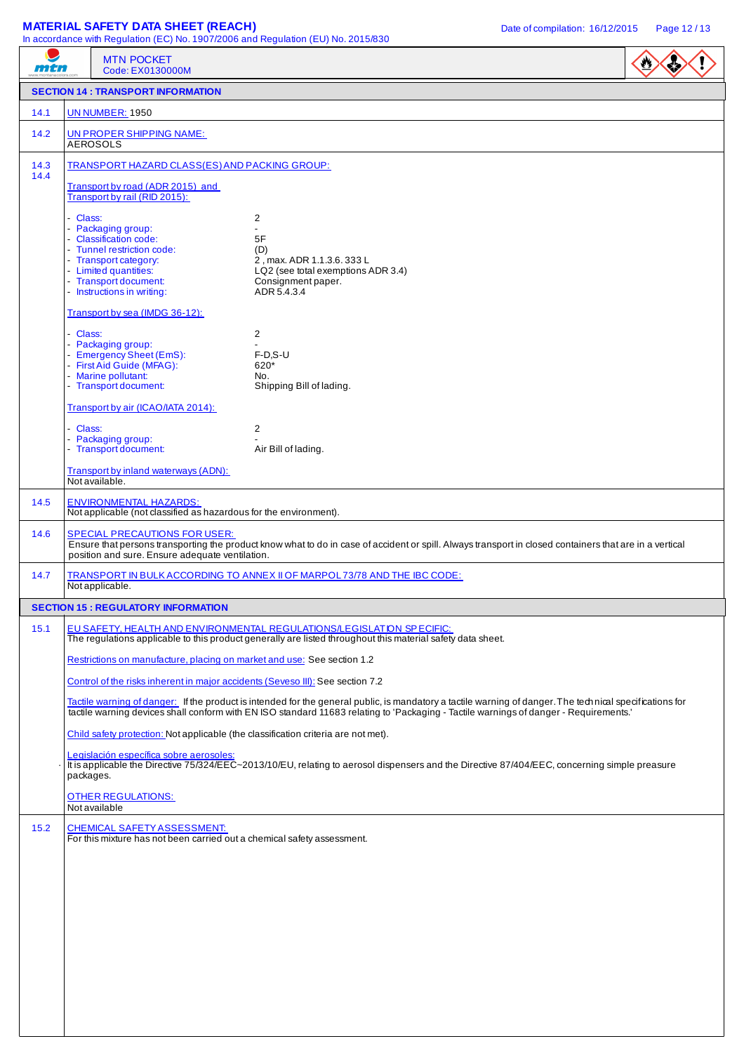# **MATERIAL SAFETY DATA SHEET (REACH)** Date of compilation: 16/12/2015 Page 12/13

In accordance with Regulation (EC) No. 1907/2006 and Regulation (EU) No. 2015/830

| mtn  | <b>MTN POCKET</b><br>Code: EX0130000M                                                                                                                                                                                                              | In accordance with Regulation (EC) No. 1907/2006 and Regulation (EU) No. 2015/830                                                                                                                                                                                                                 |  |  |  |  |
|------|----------------------------------------------------------------------------------------------------------------------------------------------------------------------------------------------------------------------------------------------------|---------------------------------------------------------------------------------------------------------------------------------------------------------------------------------------------------------------------------------------------------------------------------------------------------|--|--|--|--|
|      | <b>SECTION 14 : TRANSPORT INFORMATION</b>                                                                                                                                                                                                          |                                                                                                                                                                                                                                                                                                   |  |  |  |  |
| 14.1 | <b>UN NUMBER: 1950</b>                                                                                                                                                                                                                             |                                                                                                                                                                                                                                                                                                   |  |  |  |  |
| 14.2 | UN PROPER SHIPPING NAME:<br><b>AEROSOLS</b>                                                                                                                                                                                                        |                                                                                                                                                                                                                                                                                                   |  |  |  |  |
| 14.3 | TRANSPORT HAZARD CLASS(ES) AND PACKING GROUP:                                                                                                                                                                                                      |                                                                                                                                                                                                                                                                                                   |  |  |  |  |
| 14.4 | Transport by road (ADR 2015) and<br>Transport by rail (RID 2015):                                                                                                                                                                                  |                                                                                                                                                                                                                                                                                                   |  |  |  |  |
|      | - Class:<br>- Packaging group:<br>- Classification code:<br>- Tunnel restriction code:<br>- Transport category:<br>- Limited quantities:<br>- Transport document:<br>- Instructions in writing:                                                    | 2<br>$\blacksquare$<br>5F<br>(D)<br>2, max. ADR 1.1.3.6. 333 L<br>LQ2 (see total exemptions ADR 3.4)<br>Consignment paper.<br>ADR 5.4.3.4                                                                                                                                                         |  |  |  |  |
|      | Transport by sea (IMDG 36-12):                                                                                                                                                                                                                     |                                                                                                                                                                                                                                                                                                   |  |  |  |  |
|      | - Class:<br>- Packaging group:<br>- Emergency Sheet (EmS):<br>- First Aid Guide (MFAG):<br>- Marine pollutant:<br>- Transport document:                                                                                                            | 2<br>$F-D.S-U$<br>620*<br>No.<br>Shipping Bill of lading.                                                                                                                                                                                                                                         |  |  |  |  |
|      | Transport by air (ICAO/IATA 2014):                                                                                                                                                                                                                 |                                                                                                                                                                                                                                                                                                   |  |  |  |  |
|      | - Class:<br>- Packaging group:<br>- Transport document:                                                                                                                                                                                            | 2<br>Air Bill of lading.                                                                                                                                                                                                                                                                          |  |  |  |  |
|      | Transport by inland waterways (ADN):<br>Not available.                                                                                                                                                                                             |                                                                                                                                                                                                                                                                                                   |  |  |  |  |
| 14.5 | <b>ENVIRONMENTAL HAZARDS:</b><br>Not applicable (not classified as hazardous for the environment).                                                                                                                                                 |                                                                                                                                                                                                                                                                                                   |  |  |  |  |
| 14.6 | <b>SPECIAL PRECAUTIONS FOR USER:</b><br>Ensure that persons transporting the product know what to do in case of accident or spill. Always transport in closed containers that are in a vertical<br>position and sure. Ensure adequate ventilation. |                                                                                                                                                                                                                                                                                                   |  |  |  |  |
| 14.7 | Not applicable.                                                                                                                                                                                                                                    | TRANSPORT IN BULK ACCORDING TO ANNEX II OF MARPOL 73/78 AND THE IBC CODE:                                                                                                                                                                                                                         |  |  |  |  |
|      | <b>SECTION 15: REGULATORY INFORMATION</b>                                                                                                                                                                                                          |                                                                                                                                                                                                                                                                                                   |  |  |  |  |
| 15.1 |                                                                                                                                                                                                                                                    | EU SAFETY, HEALTH AND ENVIRONMENTAL REGULATIONS/LEGISLATION SPECIFIC:<br>The regulations applicable to this product generally are listed throughout this material safety data sheet.                                                                                                              |  |  |  |  |
|      | Restrictions on manufacture, placing on market and use: See section 1.2                                                                                                                                                                            |                                                                                                                                                                                                                                                                                                   |  |  |  |  |
|      | Control of the risks inherent in major accidents (Seveso III): See section 7.2                                                                                                                                                                     |                                                                                                                                                                                                                                                                                                   |  |  |  |  |
|      |                                                                                                                                                                                                                                                    | Tactile warning of danger: If the product is intended for the general public, is mandatory a tactile warning of danger. The technical specifications for<br>tactile warning devices shall conform with EN ISO standard 11683 relating to 'Packaging - Tactile warnings of danger - Requirements.' |  |  |  |  |
|      | Child safety protection: Not applicable (the classification criteria are not met).                                                                                                                                                                 |                                                                                                                                                                                                                                                                                                   |  |  |  |  |
|      | Legislación específica sobre aerosoles:<br>packages.                                                                                                                                                                                               | It is applicable the Directive 75/324/EEC~2013/10/EU, relating to aerosol dispensers and the Directive 87/404/EEC, concerning simple preasure                                                                                                                                                     |  |  |  |  |
|      | <b>OTHER REGULATIONS:</b><br>Not available                                                                                                                                                                                                         |                                                                                                                                                                                                                                                                                                   |  |  |  |  |
| 15.2 | <b>CHEMICAL SAFETY ASSESSMENT:</b><br>For this mixture has not been carried out a chemical safety assessment.                                                                                                                                      |                                                                                                                                                                                                                                                                                                   |  |  |  |  |
|      |                                                                                                                                                                                                                                                    |                                                                                                                                                                                                                                                                                                   |  |  |  |  |
|      |                                                                                                                                                                                                                                                    |                                                                                                                                                                                                                                                                                                   |  |  |  |  |
|      |                                                                                                                                                                                                                                                    |                                                                                                                                                                                                                                                                                                   |  |  |  |  |
|      |                                                                                                                                                                                                                                                    |                                                                                                                                                                                                                                                                                                   |  |  |  |  |
|      |                                                                                                                                                                                                                                                    |                                                                                                                                                                                                                                                                                                   |  |  |  |  |